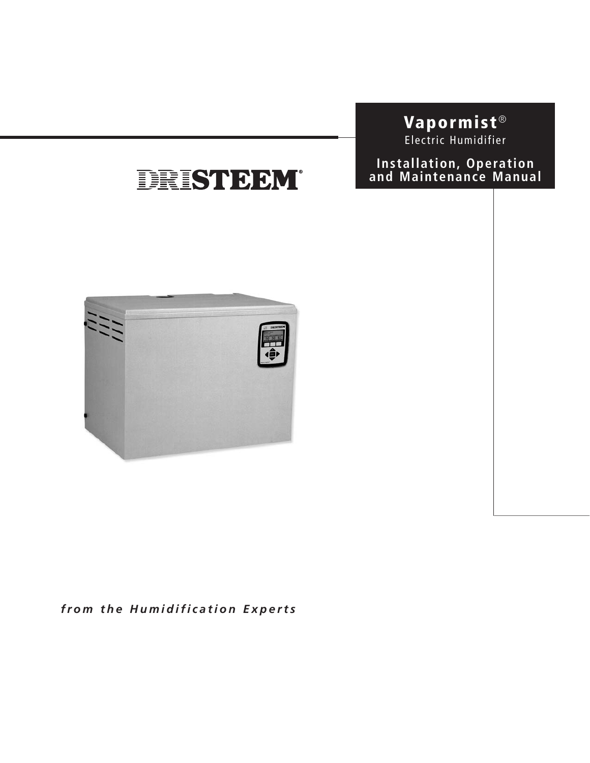### **Vapormist** ® Electric Humidifier

## DRISTEEM®





*from the Humidification Experts*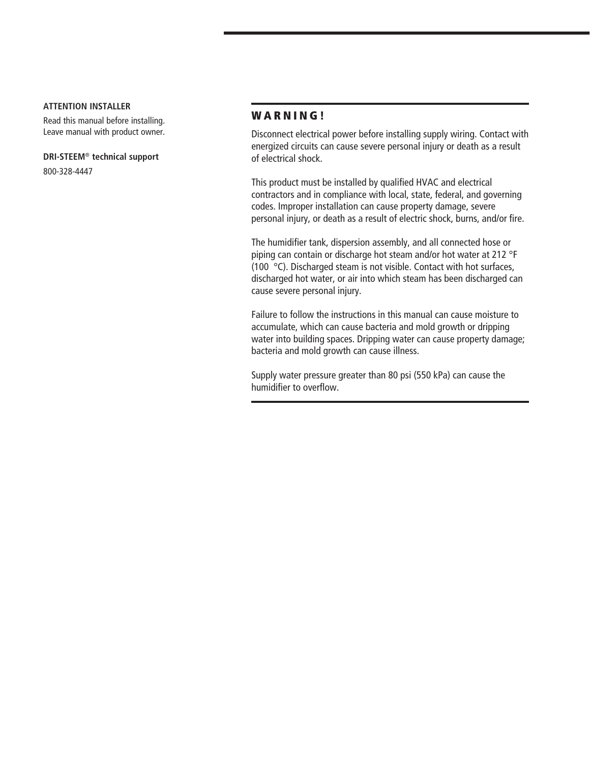#### **ATTENTION INSTALLER**

Read this manual before installing. Leave manual with product owner.

#### **DRI-STEEM**® **technical support**

800-328-4447

#### **W A R N I N G !**

Disconnect electrical power before installing supply wiring. Contact with energized circuits can cause severe personal injury or death as a result of electrical shock.

This product must be installed by qualified HVAC and electrical contractors and in compliance with local, state, federal, and governing codes. Improper installation can cause property damage, severe personal injury, or death as a result of electric shock, burns, and/or fire.

The humidifier tank, dispersion assembly, and all connected hose or piping can contain or discharge hot steam and/or hot water at 212 °F (100 °C). Discharged steam is not visible. Contact with hot surfaces, discharged hot water, or air into which steam has been discharged can cause severe personal injury.

Failure to follow the instructions in this manual can cause moisture to accumulate, which can cause bacteria and mold growth or dripping water into building spaces. Dripping water can cause property damage; bacteria and mold growth can cause illness.

Supply water pressure greater than 80 psi (550 kPa) can cause the humidifier to overflow.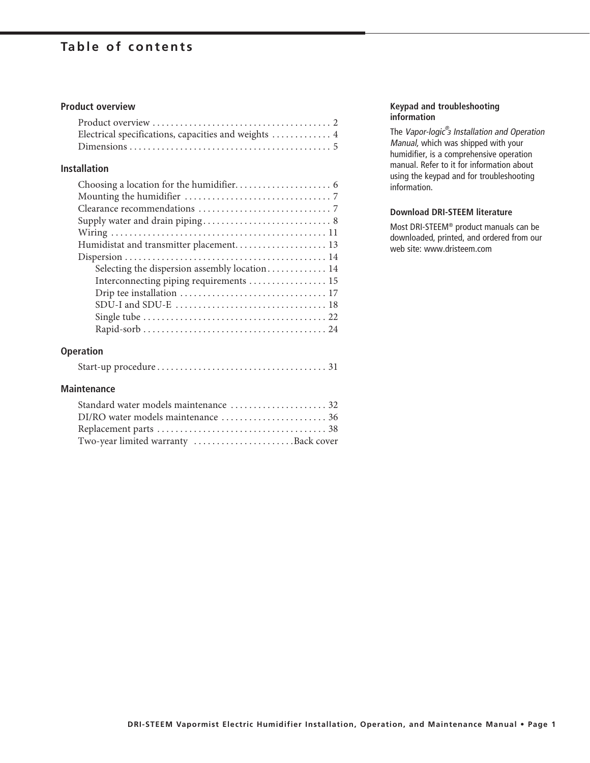### **Table of contents**

#### **Product overview**

| Electrical specifications, capacities and weights  4 |  |
|------------------------------------------------------|--|
|                                                      |  |

#### **Installation**

| Humidistat and transmitter placement 13       |
|-----------------------------------------------|
|                                               |
| Selecting the dispersion assembly location 14 |
| Interconnecting piping requirements 15        |
|                                               |
|                                               |
|                                               |
|                                               |

#### **Operation**

|--|--|--|

#### **Maintenance**

| Two-year limited warranty Back cover |
|--------------------------------------|

#### **Keypad and troubleshooting information**

The Vapor-logic<sup>®</sup> Installation and Operation Manual, which was shipped with your humidifier, is a comprehensive operation manual. Refer to it for information about using the keypad and for troubleshooting information.

#### **Download DRI-STEEM literature**

Most DRI-STEEM® product manuals can be downloaded, printed, and ordered from our web site: www.dristeem.com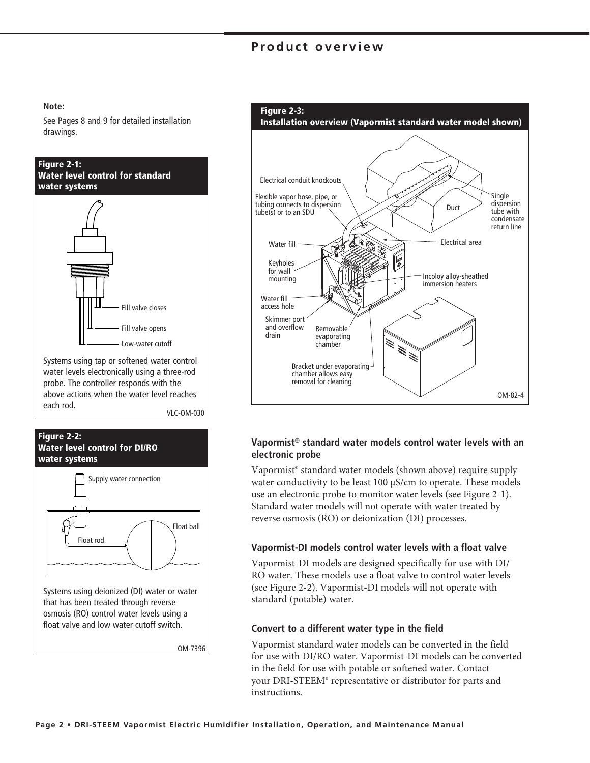### **Product overview**

#### **Note:**

See Pages 8 and 9 for detailed installation drawings.



Systems using tap or softened water control water levels electronically using a three-rod probe. The controller responds with the above actions when the water level reaches each rod.

VLC-OM-030





that has been treated through reverse osmosis (RO) control water levels using a float valve and low water cutoff switch.

OM-7396



#### **Vapormist® standard water models control water levels with an electronic probe**

Vapormist® standard water models (shown above) require supply water conductivity to be least 100 μS/cm to operate. These models use an electronic probe to monitor water levels (see Figure 2-1). Standard water models will not operate with water treated by reverse osmosis (RO) or deionization (DI) processes.

#### **Vapormist-DI models control water levels with a float valve**

Vapormist-DI models are designed specifically for use with DI/ RO water. These models use a float valve to control water levels (see Figure 2-2). Vapormist-DI models will not operate with standard (potable) water.

#### **Convert to a different water type in the field**

Vapormist standard water models can be converted in the field for use with DI/RO water. Vapormist-DI models can be converted in the field for use with potable or softened water. Contact your DRI-STEEM® representative or distributor for parts and instructions.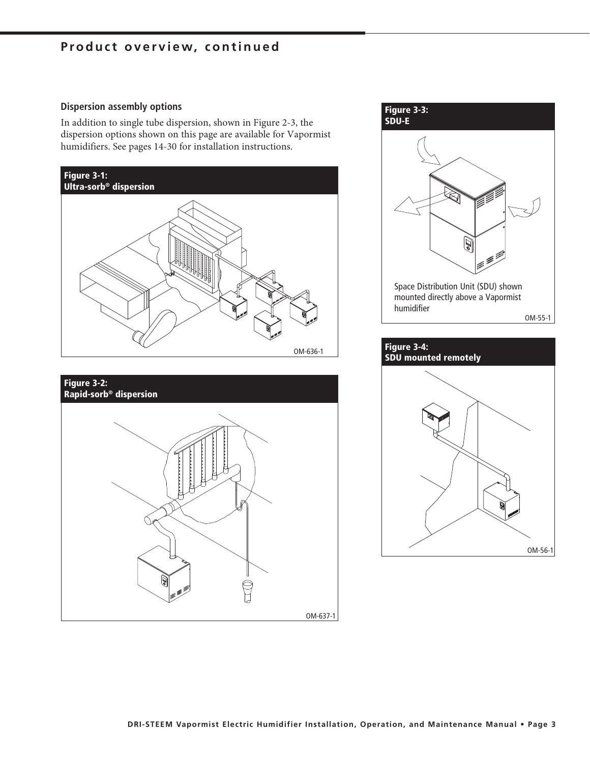### **Product overview, continued**

#### **Dispersion assembly options**

In addition to single tube dispersion, shown in Figure 2-3, the dispersion options shown on this page are available for Vapormist humidifiers. See pages 14-30 for installation instructions.





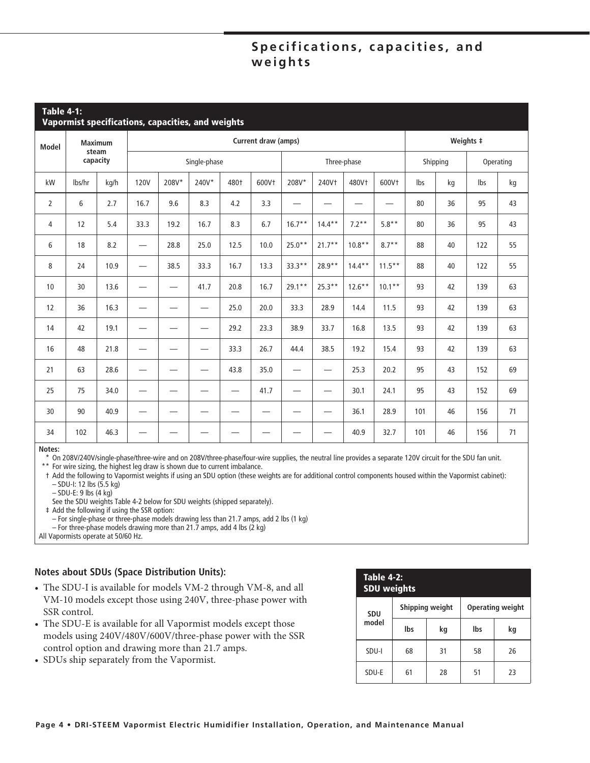### Specifications, capacities, and **weights**

| <b>Table 4-1:</b><br>Vapormist specifications, capacities, and weights |                   |      |                                |       |                          |                 |       |                                 |                          |                   |                   |     |          |           |           |
|------------------------------------------------------------------------|-------------------|------|--------------------------------|-------|--------------------------|-----------------|-------|---------------------------------|--------------------------|-------------------|-------------------|-----|----------|-----------|-----------|
| <b>Model</b>                                                           | <b>Maximum</b>    |      | Current draw (amps)            |       |                          |                 |       |                                 |                          |                   |                   |     |          | Weights # |           |
|                                                                        | steam<br>capacity |      |                                |       | Single-phase             |                 |       |                                 |                          | Three-phase       |                   |     | Shipping |           | Operating |
| kW                                                                     | lbs/hr            | kg/h | <b>120V</b>                    | 208V* | 240V*                    | 480+            | 600Vt | 208V*                           | 240Vt                    | 480V <sup>+</sup> | 600V <sup>+</sup> | Ibs | kg       | Ibs       | kg        |
| $\overline{2}$                                                         | 6                 | 2.7  | 16.7                           | 9.6   | 8.3                      | 4.2             | 3.3   |                                 |                          |                   |                   | 80  | 36       | 95        | 43        |
| 4                                                                      | 12                | 5.4  | 33.3                           | 19.2  | 16.7                     | 8.3             | 6.7   | $16.7**$                        | $14.4**$                 | $7.2**$           | $5.8**$           | 80  | 36       | 95        | 43        |
| 6                                                                      | 18                | 8.2  |                                | 28.8  | 25.0                     | 12.5            | 10.0  | $25.0**$                        | $21.7**$                 | $10.8**$          | $8.7**$           | 88  | 40       | 122       | 55        |
| 8                                                                      | 24                | 10.9 |                                | 38.5  | 33.3                     | 16.7            | 13.3  | $33.3**$                        | 28.9**                   | $14.4**$          | $11.5***$         | 88  | 40       | 122       | 55        |
| 10                                                                     | 30                | 13.6 | —                              |       | 41.7                     | 20.8            | 16.7  | $29.1**$                        | $25.3**$                 | $12.6***$         | $10.1**$          | 93  | 42       | 139       | 63        |
| 12                                                                     | 36                | 16.3 | $\overline{\phantom{0}}$       |       | $\overline{\phantom{0}}$ | 25.0            | 20.0  | 33.3                            | 28.9                     | 14.4              | 11.5              | 93  | 42       | 139       | 63        |
| 14                                                                     | 42                | 19.1 | $\overline{\phantom{0}}$       |       | $\overline{\phantom{0}}$ | 29.2            | 23.3  | 38.9                            | 33.7                     | 16.8              | 13.5              | 93  | 42       | 139       | 63        |
| 16                                                                     | 48                | 21.8 |                                |       | —                        | 33.3            | 26.7  | 44.4                            | 38.5                     | 19.2              | 15.4              | 93  | 42       | 139       | 63        |
| 21                                                                     | 63                | 28.6 | —                              |       | —                        | 43.8            | 35.0  | —                               | —                        | 25.3              | 20.2              | 95  | 43       | 152       | 69        |
| 25                                                                     | 75                | 34.0 | $\qquad \qquad \longleftarrow$ |       | —                        | $\qquad \qquad$ | 41.7  | $\hspace{0.1mm}-\hspace{0.1mm}$ |                          | 30.1              | 24.1              | 95  | 43       | 152       | 69        |
| 30                                                                     | 90                | 40.9 | —                              |       |                          |                 |       |                                 | $\overline{\phantom{0}}$ | 36.1              | 28.9              | 101 | 46       | 156       | 71        |
| 34                                                                     | 102               | 46.3 |                                |       |                          |                 |       |                                 |                          | 40.9              | 32.7              | 101 | 46       | 156       | 71        |

#### **Notes:**

\* On 208V/240V/single-phase/three-wire and on 208V/three-phase/four-wire supplies, the neutral line provides a separate 120V circuit for the SDU fan unit.

\*\* For wire sizing, the highest leg draw is shown due to current imbalance.

 † Add the following to Vapormist weights if using an SDU option (these weights are for additional control components housed within the Vapormist cabinet): – SDU-I: 12 lbs (5.5 kg)

– SDU-E: 9 lbs (4 kg)

See the SDU weights Table 4-2 below for SDU weights (shipped separately).

‡ Add the following if using the SSR option:

– For single-phase or three-phase models drawing less than 21.7 amps, add 2 lbs (1 kg)

– For three-phase models drawing more than 21.7 amps, add 4 lbs (2 kg)

All Vapormists operate at 50/60 Hz.

#### **Notes about SDUs (Space Distribution Units):**

- The SDU-I is available for models VM-2 through VM-8, and all VM-10 models except those using 240V, three-phase power with SSR control.
- The SDU-E is available for all Vapormist models except those models using 240V/480V/600V/three-phase power with the SSR control option and drawing more than 21.7 amps.
- SDUs ship separately from the Vapormist.

| <b>Table 4-2:</b><br><b>SDU weights</b> |     |                 |                         |    |  |  |  |
|-----------------------------------------|-----|-----------------|-------------------------|----|--|--|--|
| <b>SDU</b>                              |     | Shipping weight | <b>Operating weight</b> |    |  |  |  |
| model                                   | Ibs | kg              | lbs                     | kg |  |  |  |
| SDU-I                                   | 68  | 31              | 58                      | 26 |  |  |  |
| SDU-E                                   | 61  | 28              | 51                      | 23 |  |  |  |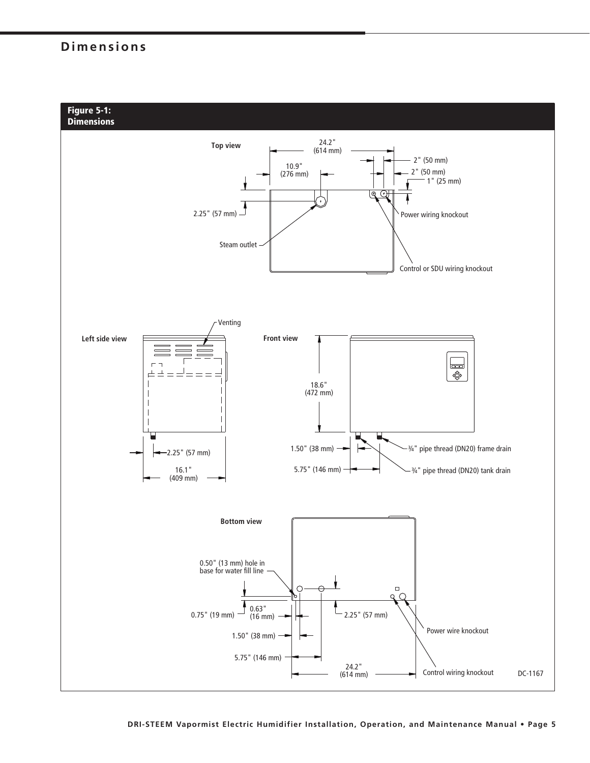### **Dimensions**

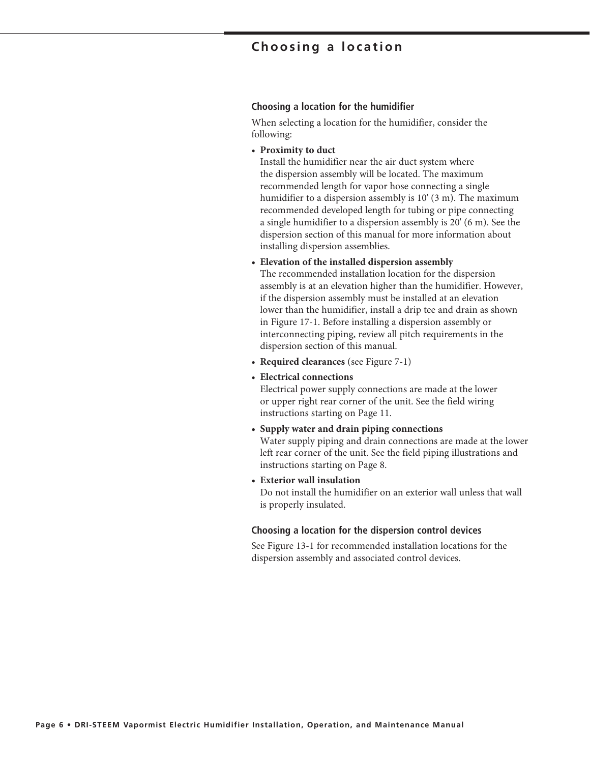### **Choosing a location**

#### **Choosing a location for the humidifier**

When selecting a location for the humidifier, consider the following:

• **Proximity to duct**

 Install the humidifier near the air duct system where the dispersion assembly will be located. The maximum recommended length for vapor hose connecting a single humidifier to a dispersion assembly is 10' (3 m). The maximum recommended developed length for tubing or pipe connecting a single humidifier to a dispersion assembly is 20' (6 m). See the dispersion section of this manual for more information about installing dispersion assemblies.

#### **• Elevation of the installed dispersion assembly**

 The recommended installation location for the dispersion assembly is at an elevation higher than the humidifier. However, if the dispersion assembly must be installed at an elevation lower than the humidifier, install a drip tee and drain as shown in Figure 17-1. Before installing a dispersion assembly or interconnecting piping, review all pitch requirements in the dispersion section of this manual.

- **Required clearances** (see Figure 7-1)
- **Electrical connections**

 Electrical power supply connections are made at the lower or upper right rear corner of the unit. See the field wiring instructions starting on Page 11.

- **Supply water and drain piping connections** Water supply piping and drain connections are made at the lower left rear corner of the unit. See the field piping illustrations and instructions starting on Page 8.
- **Exterior wall insulation**

 Do not install the humidifier on an exterior wall unless that wall is properly insulated.

#### **Choosing a location for the dispersion control devices**

See Figure 13-1 for recommended installation locations for the dispersion assembly and associated control devices.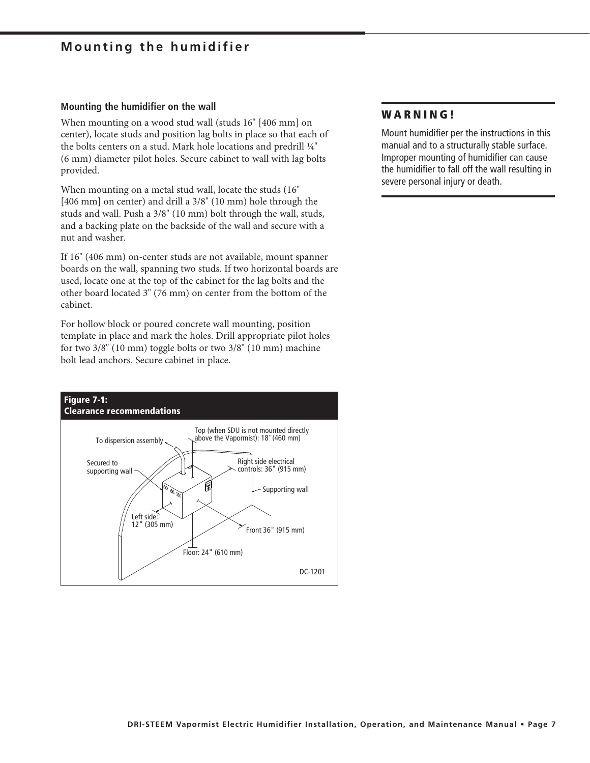### **Mounting the humidifier**

#### **Mounting the humidifier on the wall**

When mounting on a wood stud wall (studs 16" [406 mm] on center), locate studs and position lag bolts in place so that each of the bolts centers on a stud. Mark hole locations and predrill ¼" (6 mm) diameter pilot holes. Secure cabinet to wall with lag bolts provided.

When mounting on a metal stud wall, locate the studs (16" [406 mm] on center) and drill a 3/8" (10 mm) hole through the studs and wall. Push a 3/8" (10 mm) bolt through the wall, studs, and a backing plate on the backside of the wall and secure with a nut and washer.

If 16" (406 mm) on-center studs are not available, mount spanner boards on the wall, spanning two studs. If two horizontal boards are used, locate one at the top of the cabinet for the lag bolts and the other board located 3" (76 mm) on center from the bottom of the cabinet.

For hollow block or poured concrete wall mounting, position template in place and mark the holes. Drill appropriate pilot holes for two 3/8" (10 mm) toggle bolts or two 3/8" (10 mm) machine bolt lead anchors. Secure cabinet in place.



#### **WARNING!**

Mount humidifier per the instructions in this manual and to a structurally stable surface. Improper mounting of humidifier can cause the humidifier to fall off the wall resulting in severe personal injury or death.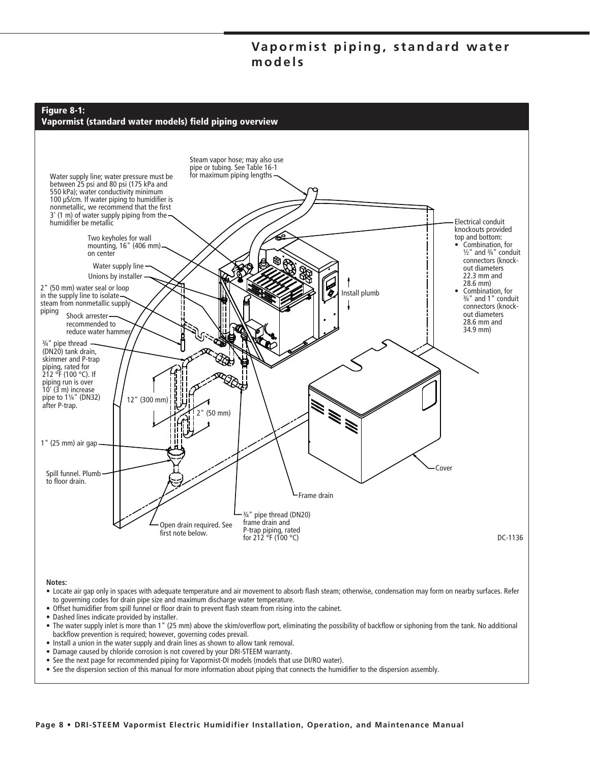### Vapormist piping, standard water **models**



#### **Notes:**

- Locate air gap only in spaces with adequate temperature and air movement to absorb flash steam; otherwise, condensation may form on nearby surfaces. Refer to governing codes for drain pipe size and maximum discharge water temperature.
- Offset humidifier from spill funnel or floor drain to prevent flash steam from rising into the cabinet.
- Dashed lines indicate provided by installer.
- The water supply inlet is more than 1" (25 mm) above the skim/overflow port, eliminating the possibility of backflow or siphoning from the tank. No additional backflow prevention is required; however, governing codes prevail.
- Install a union in the water supply and drain lines as shown to allow tank removal.
- Damage caused by chloride corrosion is not covered by your DRI-STEEM warranty.
- See the next page for recommended piping for Vapormist-DI models (models that use DI/RO water).
- See the dispersion section of this manual for more information about piping that connects the humidifier to the dispersion assembly.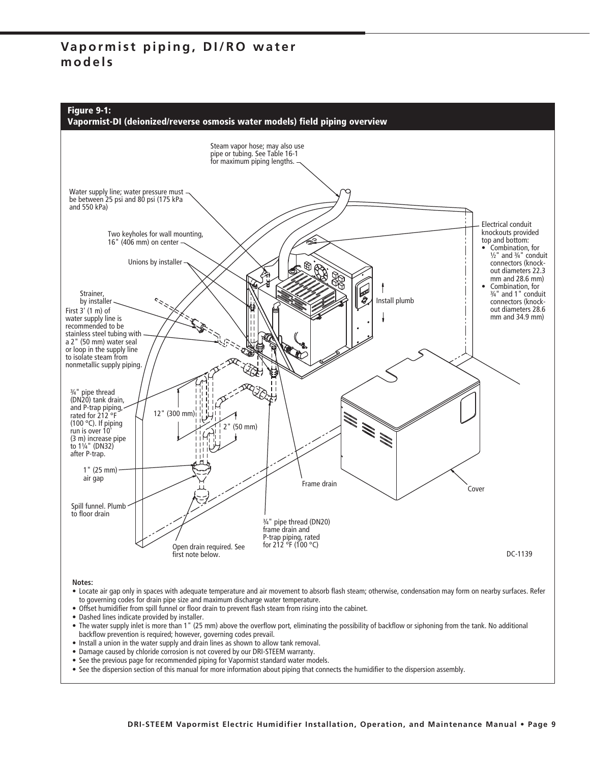### **Vapormist piping, DI/RO water models**





**Notes:**

- Locate air gap only in spaces with adequate temperature and air movement to absorb flash steam; otherwise, condensation may form on nearby surfaces. Refer to governing codes for drain pipe size and maximum discharge water temperature.
- Offset humidifier from spill funnel or floor drain to prevent flash steam from rising into the cabinet.
- Dashed lines indicate provided by installer.
- The water supply inlet is more than 1" (25 mm) above the overflow port, eliminating the possibility of backflow or siphoning from the tank. No additional backflow prevention is required; however, governing codes prevail.
- Install a union in the water supply and drain lines as shown to allow tank removal.
- Damage caused by chloride corrosion is not covered by our DRI-STEEM warranty.
- See the previous page for recommended piping for Vapormist standard water models.
- See the dispersion section of this manual for more information about piping that connects the humidifier to the dispersion assembly.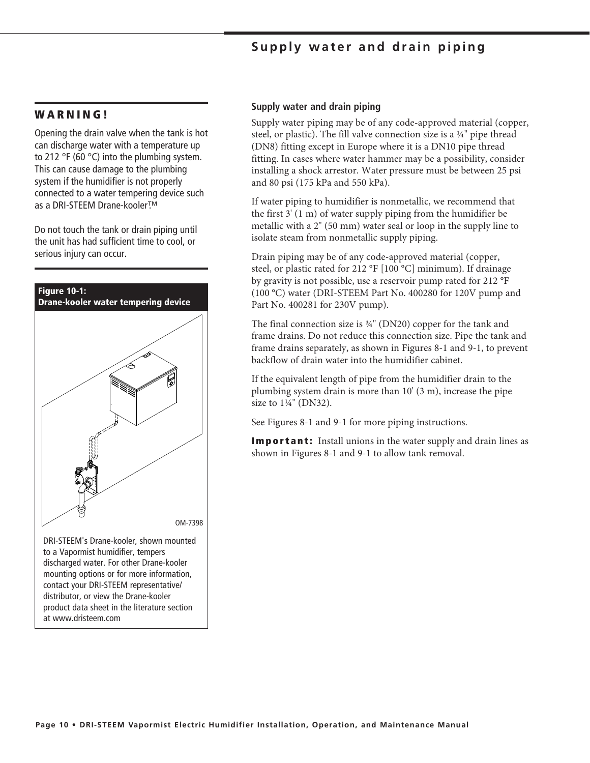### **Supply water and drain piping**

#### **W A R N I N G !**

Opening the drain valve when the tank is hot can discharge water with a temperature up to 212 °F (60 °C) into the plumbing system. This can cause damage to the plumbing system if the humidifier is not properly connected to a water tempering device such as a DRI-STEEM Drane-kooler™.

Do not touch the tank or drain piping until the unit has had sufficient time to cool, or serious injury can occur.



discharged water. For other Drane-kooler mounting options or for more information, contact your DRI-STEEM representative/ distributor, or view the Drane-kooler product data sheet in the literature section at www.dristeem.com

#### **Supply water and drain piping**

Supply water piping may be of any code-approved material (copper, steel, or plastic). The fill valve connection size is a  $\frac{1}{4}$ " pipe thread (DN8) fitting except in Europe where it is a DN10 pipe thread fitting. In cases where water hammer may be a possibility, consider installing a shock arrestor. Water pressure must be between 25 psi and 80 psi (175 kPa and 550 kPa).

If water piping to humidifier is nonmetallic, we recommend that the first 3' (1 m) of water supply piping from the humidifier be metallic with a 2" (50 mm) water seal or loop in the supply line to isolate steam from nonmetallic supply piping.

Drain piping may be of any code-approved material (copper, steel, or plastic rated for 212 °F [100 °C] minimum). If drainage by gravity is not possible, use a reservoir pump rated for 212 °F (100 °C) water (DRI-STEEM Part No. 400280 for 120V pump and Part No. 400281 for 230V pump).

The final connection size is ¾" (DN20) copper for the tank and frame drains. Do not reduce this connection size. Pipe the tank and frame drains separately, as shown in Figures 8-1 and 9-1, to prevent backflow of drain water into the humidifier cabinet.

If the equivalent length of pipe from the humidifier drain to the plumbing system drain is more than 10' (3 m), increase the pipe size to 1¼" (DN32).

See Figures 8-1 and 9-1 for more piping instructions.

**Important:** Install unions in the water supply and drain lines as shown in Figures 8-1 and 9-1 to allow tank removal.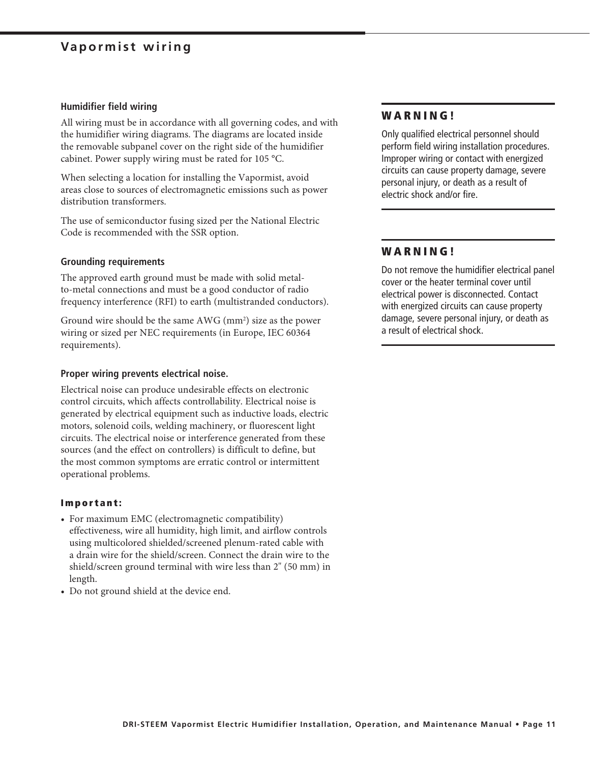### **Vapormist wiring**

#### **Humidifier field wiring**

All wiring must be in accordance with all governing codes, and with the humidifier wiring diagrams. The diagrams are located inside the removable subpanel cover on the right side of the humidifier cabinet. Power supply wiring must be rated for 105 °C.

When selecting a location for installing the Vapormist, avoid areas close to sources of electromagnetic emissions such as power distribution transformers.

The use of semiconductor fusing sized per the National Electric Code is recommended with the SSR option.

#### **Grounding requirements**

The approved earth ground must be made with solid metalto-metal connections and must be a good conductor of radio frequency interference (RFI) to earth (multistranded conductors).

Ground wire should be the same AWG (mm<sup>2</sup>) size as the power wiring or sized per NEC requirements (in Europe, IEC 60364 requirements).

#### **Proper wiring prevents electrical noise.**

Electrical noise can produce undesirable effects on electronic control circuits, which affects controllability. Electrical noise is generated by electrical equipment such as inductive loads, electric motors, solenoid coils, welding machinery, or fluorescent light circuits. The electrical noise or interference generated from these sources (and the effect on controllers) is difficult to define, but the most common symptoms are erratic control or intermittent operational problems.

#### **Important:**

- For maximum EMC (electromagnetic compatibility) effectiveness, wire all humidity, high limit, and airflow controls using multicolored shielded/screened plenum-rated cable with a drain wire for the shield/screen. Connect the drain wire to the shield/screen ground terminal with wire less than 2" (50 mm) in length.
- Do not ground shield at the device end.

#### **W A R N I N G !**

Only qualified electrical personnel should perform field wiring installation procedures. Improper wiring or contact with energized circuits can cause property damage, severe personal injury, or death as a result of electric shock and/or fire.

#### **W A R N I N G !**

Do not remove the humidifier electrical panel cover or the heater terminal cover until electrical power is disconnected. Contact with energized circuits can cause property damage, severe personal injury, or death as a result of electrical shock.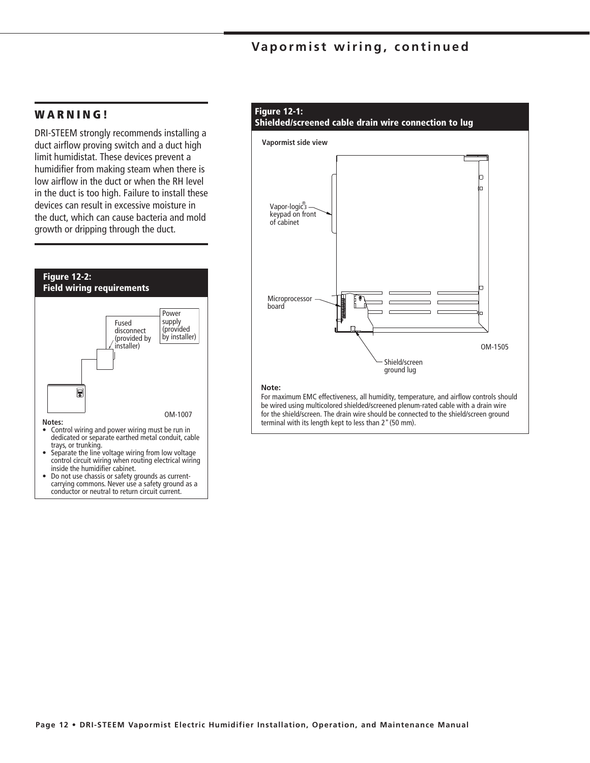### **Vapormist wiring, continued**

#### **W A R N I N G !**

DRI-STEEM strongly recommends installing a duct airflow proving switch and a duct high limit humidistat. These devices prevent a humidifier from making steam when there is low airflow in the duct or when the RH level in the duct is too high. Failure to install these devices can result in excessive moisture in the duct, which can cause bacteria and mold growth or dripping through the duct.



• Do not use chassis or safety grounds as currentcarrying commons. Never use a safety ground as a conductor or neutral to return circuit current.

### **Figure 12-1:**



For maximum EMC effectiveness, all humidity, temperature, and airflow controls should be wired using multicolored shielded/screened plenum-rated cable with a drain wire for the shield/screen. The drain wire should be connected to the shield/screen ground terminal with its length kept to less than 2" (50 mm).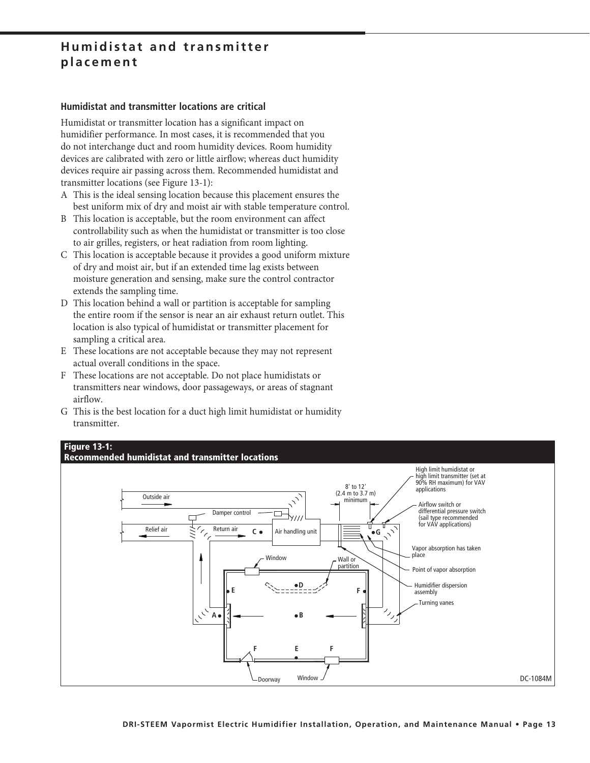### **Humidistat and transmitter placement**

#### **Humidistat and transmitter locations are critical**

Humidistat or transmitter location has a significant impact on humidifier performance. In most cases, it is recommended that you do not interchange duct and room humidity devices. Room humidity devices are calibrated with zero or little airflow; whereas duct humidity devices require air passing across them. Recommended humidistat and transmitter locations (see Figure 13-1):

- A This is the ideal sensing location because this placement ensures the best uniform mix of dry and moist air with stable temperature control.
- B This location is acceptable, but the room environment can affect controllability such as when the humidistat or transmitter is too close to air grilles, registers, or heat radiation from room lighting.
- C This location is acceptable because it provides a good uniform mixture of dry and moist air, but if an extended time lag exists between moisture generation and sensing, make sure the control contractor extends the sampling time.
- D This location behind a wall or partition is acceptable for sampling the entire room if the sensor is near an air exhaust return outlet. This location is also typical of humidistat or transmitter placement for sampling a critical area.
- E These locations are not acceptable because they may not represent actual overall conditions in the space.
- F These locations are not acceptable. Do not place humidistats or transmitters near windows, door passageways, or areas of stagnant airflow.
- G This is the best location for a duct high limit humidistat or humidity transmitter.

#### **Figure 13-1:**

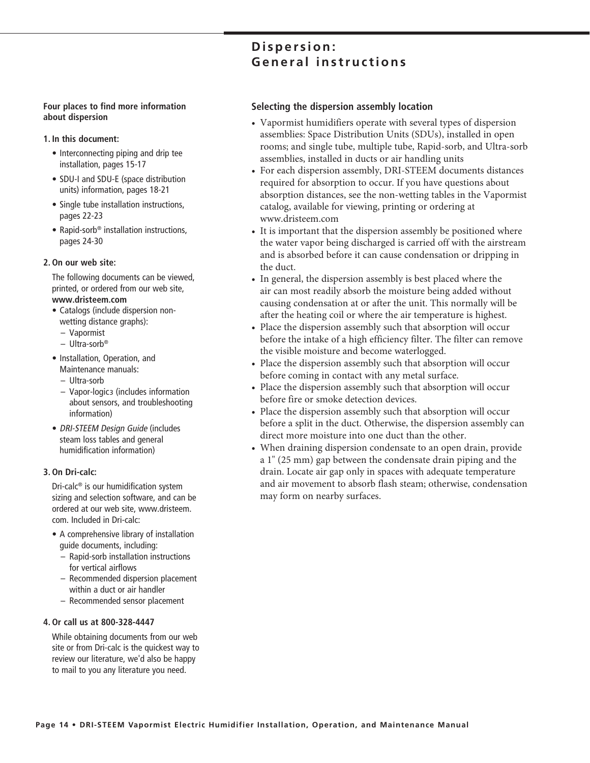# **Four places to find more information**

**1. In this document:**

**about dispersion**

- Interconnecting piping and drip tee installation, pages 15-17
- SDU-I and SDU-E (space distribution units) information, pages 18-21
- Single tube installation instructions, pages 22-23
- Rapid-sorb<sup>®</sup> installation instructions, pages 24-30

#### **2. On our web site:**

 The following documents can be viewed, printed, or ordered from our web site, **www.dristeem.com**

- Catalogs (include dispersion nonwetting distance graphs):
	- Vapormist
	- Ultra-sorb®
- Installation, Operation, and Maintenance manuals:
	- Ultra-sorb
	- Vapor-logic3 (includes information about sensors, and troubleshooting information)
- DRI-STEEM Design Guide (includes steam loss tables and general humidification information)

#### **3. On Dri-calc:**

 Dri-calc® is our humidification system sizing and selection software, and can be ordered at our web site, www.dristeem. com. Included in Dri-calc:

- A comprehensive library of installation guide documents, including:
	- Rapid-sorb installation instructions for vertical airflows
	- Recommended dispersion placement within a duct or air handler
	- Recommended sensor placement

#### **4. Or call us at 800-328-4447**

 While obtaining documents from our web site or from Dri-calc is the quickest way to review our literature, we'd also be happy to mail to you any literature you need.

### **Selecting the dispersion assembly location**

**General instructions**

**D i s p e r s i o n :** 

- Vapormist humidifiers operate with several types of dispersion assemblies: Space Distribution Units (SDUs), installed in open rooms; and single tube, multiple tube, Rapid-sorb, and Ultra-sorb assemblies, installed in ducts or air handling units
- For each dispersion assembly, DRI-STEEM documents distances required for absorption to occur. If you have questions about absorption distances, see the non-wetting tables in the Vapormist catalog, available for viewing, printing or ordering at www.dristeem.com
- It is important that the dispersion assembly be positioned where the water vapor being discharged is carried off with the airstream and is absorbed before it can cause condensation or dripping in the duct.
- In general, the dispersion assembly is best placed where the air can most readily absorb the moisture being added without causing condensation at or after the unit. This normally will be after the heating coil or where the air temperature is highest.
- Place the dispersion assembly such that absorption will occur before the intake of a high efficiency filter. The filter can remove the visible moisture and become waterlogged.
- Place the dispersion assembly such that absorption will occur before coming in contact with any metal surface.
- Place the dispersion assembly such that absorption will occur before fire or smoke detection devices.
- Place the dispersion assembly such that absorption will occur before a split in the duct. Otherwise, the dispersion assembly can direct more moisture into one duct than the other.
- When draining dispersion condensate to an open drain, provide a 1" (25 mm) gap between the condensate drain piping and the drain. Locate air gap only in spaces with adequate temperature and air movement to absorb flash steam; otherwise, condensation may form on nearby surfaces.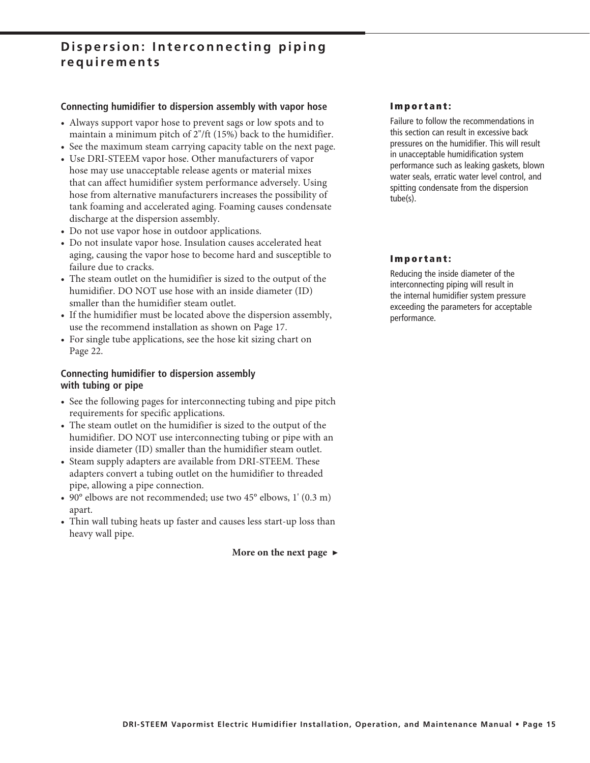### **Dispersion: Interconnecting piping requirements**

#### **Connecting humidifier to dispersion assembly with vapor hose**

- Always support vapor hose to prevent sags or low spots and to maintain a minimum pitch of 2"/ft (15%) back to the humidifier.
- See the maximum steam carrying capacity table on the next page.
- Use DRI-STEEM vapor hose. Other manufacturers of vapor hose may use unacceptable release agents or material mixes that can affect humidifier system performance adversely. Using hose from alternative manufacturers increases the possibility of tank foaming and accelerated aging. Foaming causes condensate discharge at the dispersion assembly.
- Do not use vapor hose in outdoor applications.
- Do not insulate vapor hose. Insulation causes accelerated heat aging, causing the vapor hose to become hard and susceptible to failure due to cracks.
- The steam outlet on the humidifier is sized to the output of the humidifier. DO NOT use hose with an inside diameter (ID) smaller than the humidifier steam outlet.
- If the humidifier must be located above the dispersion assembly, use the recommend installation as shown on Page 17.
- For single tube applications, see the hose kit sizing chart on Page 22.

#### **Connecting humidifier to dispersion assembly with tubing or pipe**

- See the following pages for interconnecting tubing and pipe pitch requirements for specific applications.
- The steam outlet on the humidifier is sized to the output of the humidifier. DO NOT use interconnecting tubing or pipe with an inside diameter (ID) smaller than the humidifier steam outlet.
- Steam supply adapters are available from DRI-STEEM. These adapters convert a tubing outlet on the humidifier to threaded pipe, allowing a pipe connection.
- 90° elbows are not recommended; use two 45° elbows, 1' (0.3 m) apart.
- Thin wall tubing heats up faster and causes less start-up loss than heavy wall pipe.

**More on the next page ▶**

#### **Important:**

Failure to follow the recommendations in this section can result in excessive back pressures on the humidifier. This will result in unacceptable humidification system performance such as leaking gaskets, blown water seals, erratic water level control, and spitting condensate from the dispersion tube(s).

#### **Important:**

Reducing the inside diameter of the interconnecting piping will result in the internal humidifier system pressure exceeding the parameters for acceptable performance.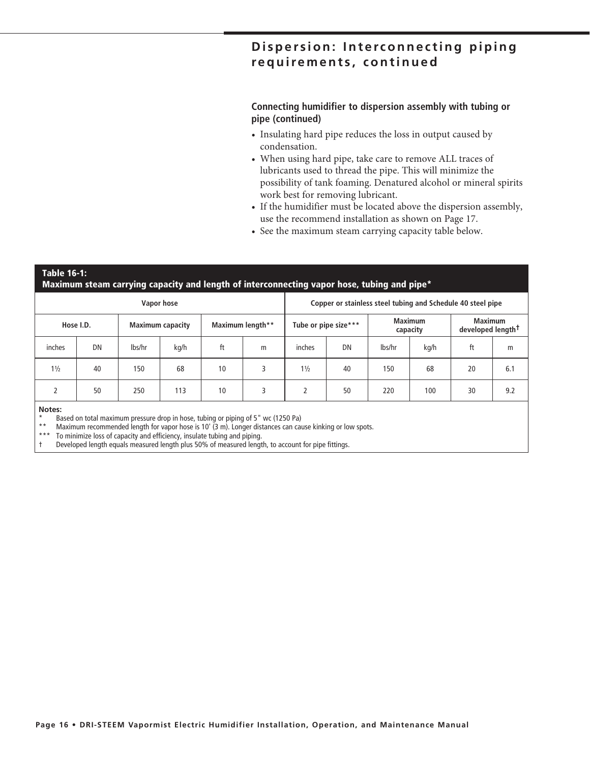### **Dispersion: Interconnecting piping requirements, continued**

#### **Connecting humidifier to dispersion assembly with tubing or pipe (continued)**

- Insulating hard pipe reduces the loss in output caused by condensation.
- When using hard pipe, take care to remove ALL traces of lubricants used to thread the pipe. This will minimize the possibility of tank foaming. Denatured alcohol or mineral spirits work best for removing lubricant.
- If the humidifier must be located above the dispersion assembly, use the recommend installation as shown on Page 17.
- See the maximum steam carrying capacity table below.

#### **Table 16-1: Maximum steam carrying capacity and length of interconnecting vapor hose, tubing and pipe\***

| Vapor hose                           |    |        |                  |    |   |                      | Copper or stainless steel tubing and Schedule 40 steel pipe |        |                                                 |    |     |  |
|--------------------------------------|----|--------|------------------|----|---|----------------------|-------------------------------------------------------------|--------|-------------------------------------------------|----|-----|--|
| Hose I.D.<br><b>Maximum capacity</b> |    |        | Maximum length** |    |   | Tube or pipe size*** | <b>Maximum</b><br>capacity                                  |        | <b>Maximum</b><br>developed length <sup>+</sup> |    |     |  |
| inches                               | DN | lbs/hr | kg/h             | ft | m | inches               | DN                                                          | lbs/hr | kg/h                                            | ft | m   |  |
| $1\frac{1}{2}$                       | 40 | 150    | 68               | 10 | 3 | $1\frac{1}{2}$       | 40                                                          | 150    | 68                                              | 20 | 6.1 |  |
|                                      | 50 | 250    | 113              | 10 | 3 |                      | 50                                                          | 220    | 100                                             | 30 | 9.2 |  |
| <b>Billian Commercial</b>            |    |        |                  |    |   |                      |                                                             |        |                                                 |    |     |  |

#### **Notes:**

\* Based on total maximum pressure drop in hose, tubing or piping of  $5''$  wc (1250 Pa)<br>\*\* Maximum recommended length for vapor beca is 10' (2 m). Langer distances can cay

Maximum recommended length for vapor hose is 10' (3 m). Longer distances can cause kinking or low spots.

\*\*\* To minimize loss of capacity and efficiency, insulate tubing and piping.

Developed length equals measured length plus 50% of measured length, to account for pipe fittings.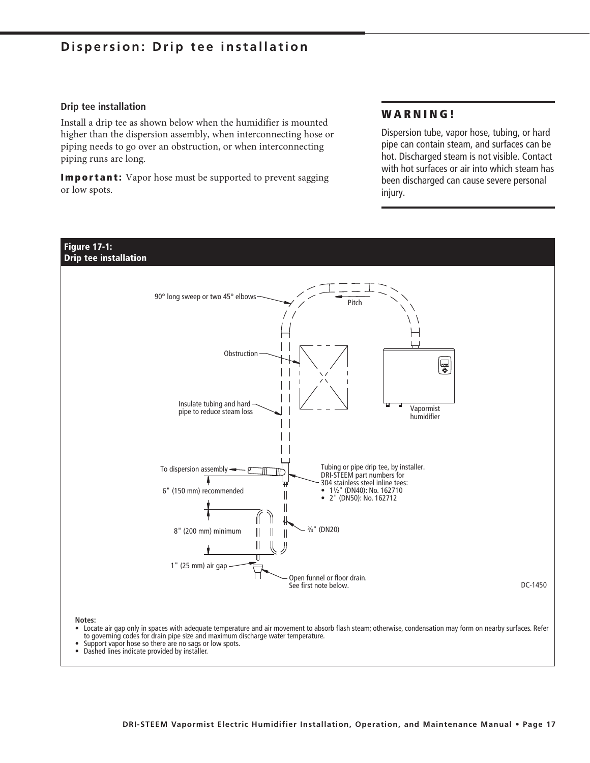### **Dispersion: Drip tee installation**

#### **Drip tee installation**

Install a drip tee as shown below when the humidifier is mounted higher than the dispersion assembly, when interconnecting hose or piping needs to go over an obstruction, or when interconnecting piping runs are long.

**Important:** Vapor hose must be supported to prevent sagging or low spots.

### **WARNING!**

Dispersion tube, vapor hose, tubing, or hard pipe can contain steam, and surfaces can be hot. Discharged steam is not visible. Contact with hot surfaces or air into which steam has been discharged can cause severe personal injury.



- 
- Support vapor hose so there are no sags or low spots.<br>• Dashed lines indicate provided by installer
- Dashed lines indicate provided by installer.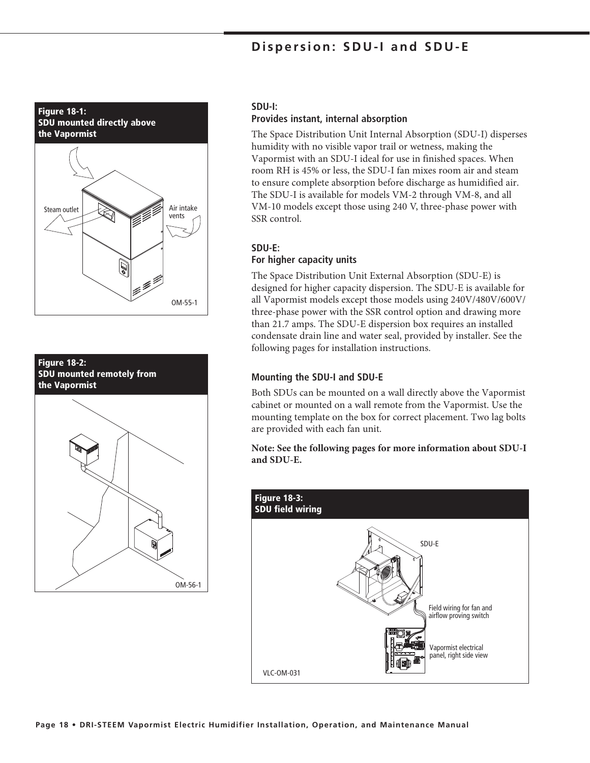### **Dispersion: SDU-I and SDU-E**





#### **SDU-I:**

#### **Provides instant, internal absorption**

The Space Distribution Unit Internal Absorption (SDU-I) disperses humidity with no visible vapor trail or wetness, making the Vapormist with an SDU-I ideal for use in finished spaces. When room RH is 45% or less, the SDU-I fan mixes room air and steam to ensure complete absorption before discharge as humidified air. The SDU-I is available for models VM-2 through VM-8, and all VM-10 models except those using 240 V, three-phase power with SSR control.

#### **SDU-E:**

#### **For higher capacity units**

The Space Distribution Unit External Absorption (SDU-E) is designed for higher capacity dispersion. The SDU-E is available for all Vapormist models except those models using 240V/480V/600V/ three-phase power with the SSR control option and drawing more than 21.7 amps. The SDU-E dispersion box requires an installed condensate drain line and water seal, provided by installer. See the following pages for installation instructions.

#### **Mounting the SDU-I and SDU-E**

Both SDUs can be mounted on a wall directly above the Vapormist cabinet or mounted on a wall remote from the Vapormist. Use the mounting template on the box for correct placement. Two lag bolts are provided with each fan unit.

**Note: See the following pages for more information about SDU-I and SDU-E.**

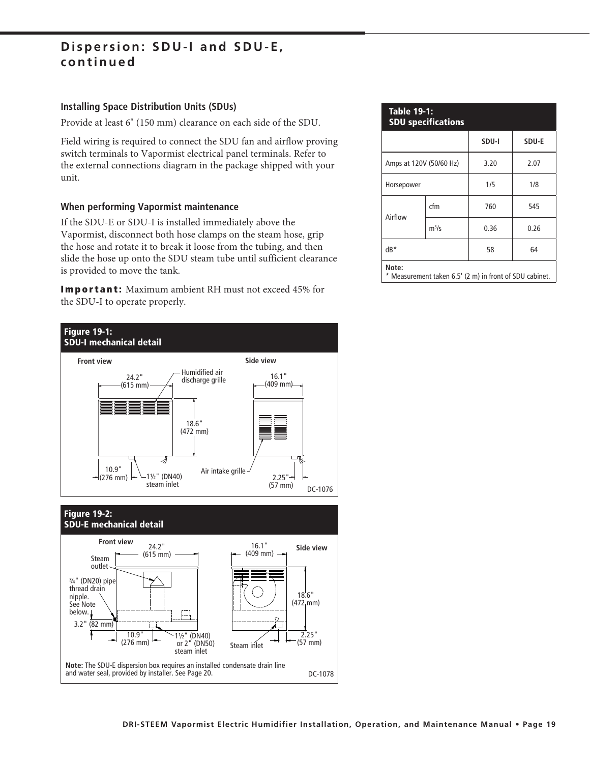### **Dispersion: SDU-I and SDU-E, continued**

#### **Installing Space Distribution Units (SDUs)**

Provide at least 6" (150 mm) clearance on each side of the SDU.

Field wiring is required to connect the SDU fan and airflow proving switch terminals to Vapormist electrical panel terminals. Refer to the external connections diagram in the package shipped with your unit.

#### **When performing Vapormist maintenance**

If the SDU-E or SDU-I is installed immediately above the Vapormist, disconnect both hose clamps on the steam hose, grip the hose and rotate it to break it loose from the tubing, and then slide the hose up onto the SDU steam tube until sufficient clearance is provided to move the tank.

**Important:** Maximum ambient RH must not exceed 45% for the SDU-I to operate properly.



| <b>Table 19-1:</b><br><b>SDU specifications</b>                  |                         |       |       |  |  |  |  |
|------------------------------------------------------------------|-------------------------|-------|-------|--|--|--|--|
|                                                                  |                         | SDU-I | SDU-E |  |  |  |  |
|                                                                  | Amps at 120V (50/60 Hz) | 3.20  | 2.07  |  |  |  |  |
| Horsepower                                                       |                         | 1/5   | 1/8   |  |  |  |  |
|                                                                  | cfm                     | 760   | 545   |  |  |  |  |
| Airflow                                                          | $m^3/s$                 | 0.36  | 0.26  |  |  |  |  |
| $dB*$                                                            |                         | 58    | 64    |  |  |  |  |
| Note:<br>* Measurement taken 6.5' (2 m) in front of SDU cabinet. |                         |       |       |  |  |  |  |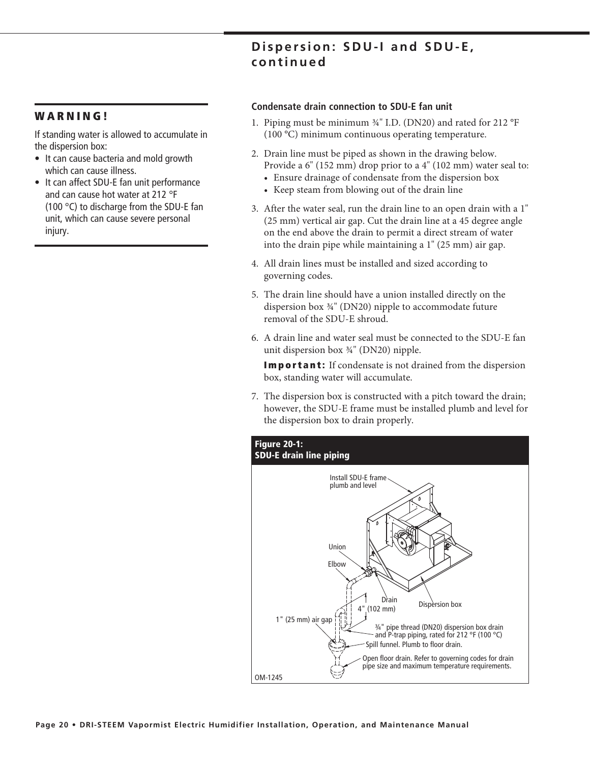### **Dispersion: SDU-I and SDU-E, continued**

#### **WARNING!**

If standing water is allowed to accumulate in the dispersion box:

- It can cause bacteria and mold growth which can cause illness.
- It can affect SDU-E fan unit performance and can cause hot water at 212 °F (100 °C) to discharge from the SDU-E fan unit, which can cause severe personal injury.

#### **Condensate drain connection to SDU-E fan unit**

- 1. Piping must be minimum ¾" I.D. (DN20) and rated for 212 °F (100 °C) minimum continuous operating temperature.
- 2. Drain line must be piped as shown in the drawing below. Provide a 6" (152 mm) drop prior to a 4" (102 mm) water seal to:
	- Ensure drainage of condensate from the dispersion box
	- Keep steam from blowing out of the drain line
- 3. After the water seal, run the drain line to an open drain with a 1" (25 mm) vertical air gap. Cut the drain line at a 45 degree angle on the end above the drain to permit a direct stream of water into the drain pipe while maintaining a 1" (25 mm) air gap.
- 4. All drain lines must be installed and sized according to governing codes.
- 5. The drain line should have a union installed directly on the dispersion box ¾" (DN20) nipple to accommodate future removal of the SDU-E shroud.
- 6. A drain line and water seal must be connected to the SDU-E fan unit dispersion box ¾" (DN20) nipple.

**Important:** If condensate is not drained from the dispersion box, standing water will accumulate.

7. The dispersion box is constructed with a pitch toward the drain; however, the SDU-E frame must be installed plumb and level for the dispersion box to drain properly.

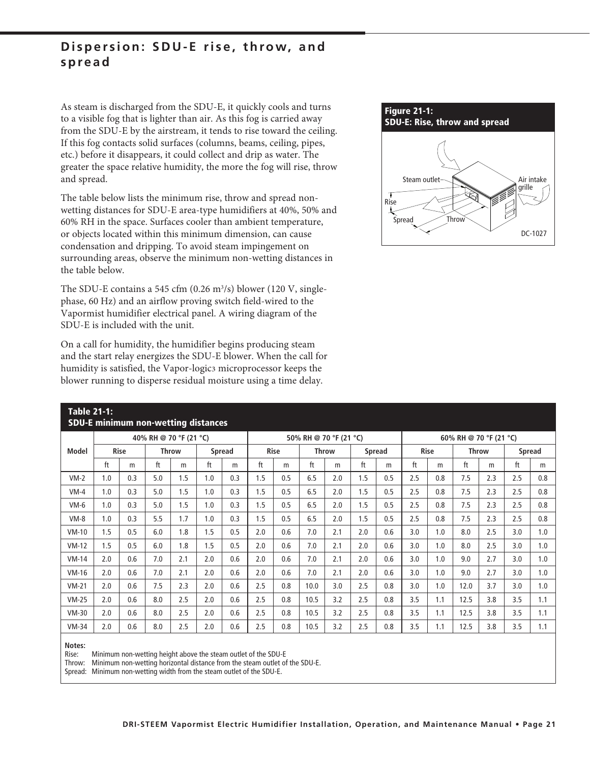### **Dispersion: SDU-E rise, throw, and spread**

As steam is discharged from the SDU-E, it quickly cools and turns to a visible fog that is lighter than air. As this fog is carried away from the SDU-E by the airstream, it tends to rise toward the ceiling. If this fog contacts solid surfaces (columns, beams, ceiling, pipes, etc.) before it disappears, it could collect and drip as water. The greater the space relative humidity, the more the fog will rise, throw and spread.

The table below lists the minimum rise, throw and spread nonwetting distances for SDU-E area-type humidifiers at 40%, 50% and 60% RH in the space. Surfaces cooler than ambient temperature, or objects located within this minimum dimension, can cause condensation and dripping. To avoid steam impingement on surrounding areas, observe the minimum non-wetting distances in the table below.

The SDU-E contains a 545 cfm (0.26 m<sup>3</sup>/s) blower (120 V, singlephase, 60 Hz) and an airflow proving switch field-wired to the Vapormist humidifier electrical panel. A wiring diagram of the SDU-E is included with the unit.

On a call for humidity, the humidifier begins producing steam and the start relay energizes the SDU-E blower. When the call for humidity is satisfied, the Vapor-logic3 microprocessor keeps the blower running to disperse residual moisture using a time delay.



|         | <u>Table 21-1:</u><br><b>SDU-E minimum non-wetting distances</b> |     |                        |              |     |        |     |             |                        |              |     |               |     |             |                        |              |     |        |
|---------|------------------------------------------------------------------|-----|------------------------|--------------|-----|--------|-----|-------------|------------------------|--------------|-----|---------------|-----|-------------|------------------------|--------------|-----|--------|
|         |                                                                  |     | 40% RH @ 70 °F (21 °C) |              |     |        |     |             | 50% RH @ 70 °F (21 °C) |              |     |               |     |             | 60% RH @ 70 °F (21 °C) |              |     |        |
| Model   | <b>Rise</b>                                                      |     |                        | <b>Throw</b> |     | Spread |     | <b>Rise</b> |                        | <b>Throw</b> |     | <b>Spread</b> |     | <b>Rise</b> |                        | <b>Throw</b> |     | Spread |
|         | ft                                                               | m   | ft                     | m            | ft  | m      | ft  | m           | ft                     | m            | ft  | m             | ft  | m           | ft                     | m            | ft  | m      |
| $VM-2$  | 1.0                                                              | 0.3 | 5.0                    | 1.5          | 1.0 | 0.3    | 1.5 | 0.5         | 6.5                    | 2.0          | 1.5 | 0.5           | 2.5 | 0.8         | 7.5                    | 2.3          | 2.5 | 0.8    |
| $VM-4$  | 1.0                                                              | 0.3 | 5.0                    | 1.5          | 1.0 | 0.3    | 1.5 | 0.5         | 6.5                    | 2.0          | 1.5 | 0.5           | 2.5 | 0.8         | 7.5                    | 2.3          | 2.5 | 0.8    |
| $VM-6$  | 1.0                                                              | 0.3 | 5.0                    | 1.5          | 1.0 | 0.3    | 1.5 | 0.5         | 6.5                    | 2.0          | 1.5 | 0.5           | 2.5 | 0.8         | 7.5                    | 2.3          | 2.5 | 0.8    |
| $VM-8$  | 1.0                                                              | 0.3 | 5.5                    | 1.7          | 1.0 | 0.3    | 1.5 | 0.5         | 6.5                    | 2.0          | 1.5 | 0.5           | 2.5 | 0.8         | 7.5                    | 2.3          | 2.5 | 0.8    |
| $VM-10$ | 1.5                                                              | 0.5 | 6.0                    | 1.8          | 1.5 | 0.5    | 2.0 | 0.6         | 7.0                    | 2.1          | 2.0 | 0.6           | 3.0 | 1.0         | 8.0                    | 2.5          | 3.0 | 1.0    |
| $VM-12$ | 1.5                                                              | 0.5 | 6.0                    | 1.8          | 1.5 | 0.5    | 2.0 | 0.6         | 7.0                    | 2.1          | 2.0 | 0.6           | 3.0 | 1.0         | 8.0                    | 2.5          | 3.0 | 1.0    |
| $VM-14$ | 2.0                                                              | 0.6 | 7.0                    | 2.1          | 2.0 | 0.6    | 2.0 | 0.6         | 7.0                    | 2.1          | 2.0 | 0.6           | 3.0 | 1.0         | 9.0                    | 2.7          | 3.0 | 1.0    |
| $VM-16$ | 2.0                                                              | 0.6 | 7.0                    | 2.1          | 2.0 | 0.6    | 2.0 | 0.6         | 7.0                    | 2.1          | 2.0 | 0.6           | 3.0 | 1.0         | 9.0                    | 2.7          | 3.0 | 1.0    |
| $VM-21$ | 2.0                                                              | 0.6 | 7.5                    | 2.3          | 2.0 | 0.6    | 2.5 | 0.8         | 10.0                   | 3.0          | 2.5 | 0.8           | 3.0 | 1.0         | 12.0                   | 3.7          | 3.0 | 1.0    |
| $VM-25$ | 2.0                                                              | 0.6 | 8.0                    | 2.5          | 2.0 | 0.6    | 2.5 | 0.8         | 10.5                   | 3.2          | 2.5 | 0.8           | 3.5 | 1.1         | 12.5                   | 3.8          | 3.5 | 1.1    |
| $VM-30$ | 2.0                                                              | 0.6 | 8.0                    | 2.5          | 2.0 | 0.6    | 2.5 | 0.8         | 10.5                   | 3.2          | 2.5 | 0.8           | 3.5 | 1.1         | 12.5                   | 3.8          | 3.5 | 1.1    |
| $VM-34$ | 2.0                                                              | 0.6 | 8.0                    | 2.5          | 2.0 | 0.6    | 2.5 | 0.8         | 10.5                   | 3.2          | 2.5 | 0.8           | 3.5 | 1.1         | 12.5                   | 3.8          | 3.5 | 1.1    |
|         |                                                                  |     |                        |              |     |        |     |             |                        |              |     |               |     |             |                        |              |     |        |

**Notes:**

Rise: Minimum non-wetting height above the steam outlet of the SDU-E

Throw: Minimum non-wetting horizontal distance from the steam outlet of the SDU-E.

Spread: Minimum non-wetting width from the steam outlet of the SDU-E.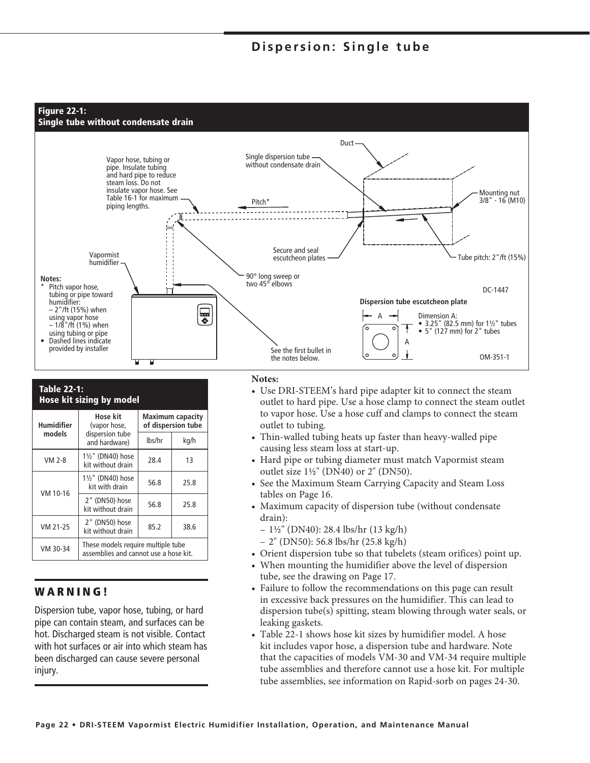### **Dispersion: Single tube**



#### **Table 22-1: Hose kit sizing by model**

| Humidifier | Hose kit<br>(vapor hose,                                                    | <b>Maximum capacity</b><br>of dispersion tube |      |  |  |  |
|------------|-----------------------------------------------------------------------------|-----------------------------------------------|------|--|--|--|
| models     | dispersion tube<br>and hardware)                                            | lbs/hr                                        | kg/h |  |  |  |
| VM 2-8     | 11/2" (DN40) hose<br>kit without drain                                      | 28.4                                          | 13   |  |  |  |
|            | 11/2" (DN40) hose<br>kit with drain                                         | 56.8                                          | 25.8 |  |  |  |
| VM 10-16   | 2" (DN50) hose<br>kit without drain                                         | 56.8                                          | 25.8 |  |  |  |
| VM 21-25   | 2" (DN50) hose<br>kit without drain                                         | 85.2                                          | 38.6 |  |  |  |
| VM 30-34   | These models require multiple tube<br>assemblies and cannot use a hose kit. |                                               |      |  |  |  |

### **WARNING!**

Dispersion tube, vapor hose, tubing, or hard pipe can contain steam, and surfaces can be hot. Discharged steam is not visible. Contact with hot surfaces or air into which steam has been discharged can cause severe personal injury.

#### **Notes:**

- Use DRI-STEEM's hard pipe adapter kit to connect the steam outlet to hard pipe. Use a hose clamp to connect the steam outlet to vapor hose. Use a hose cuff and clamps to connect the steam outlet to tubing.
- Thin-walled tubing heats up faster than heavy-walled pipe causing less steam loss at start-up.
- Hard pipe or tubing diameter must match Vapormist steam outlet size 1½" (DN40) or 2" (DN50).
- See the Maximum Steam Carrying Capacity and Steam Loss tables on Page 16.
- Maximum capacity of dispersion tube (without condensate drain):
	- 1½" (DN40): 28.4 lbs/hr (13 kg/h)
	- 2" (DN50): 56.8 lbs/hr (25.8 kg/h)
- Orient dispersion tube so that tubelets (steam orifices) point up.
- When mounting the humidifier above the level of dispersion tube, see the drawing on Page 17.
- Failure to follow the recommendations on this page can result in excessive back pressures on the humidifier. This can lead to dispersion tube(s) spitting, steam blowing through water seals, or leaking gaskets.
- Table 22-1 shows hose kit sizes by humidifier model. A hose kit includes vapor hose, a dispersion tube and hardware. Note that the capacities of models VM-30 and VM-34 require multiple tube assemblies and therefore cannot use a hose kit. For multiple tube assemblies, see information on Rapid-sorb on pages 24-30.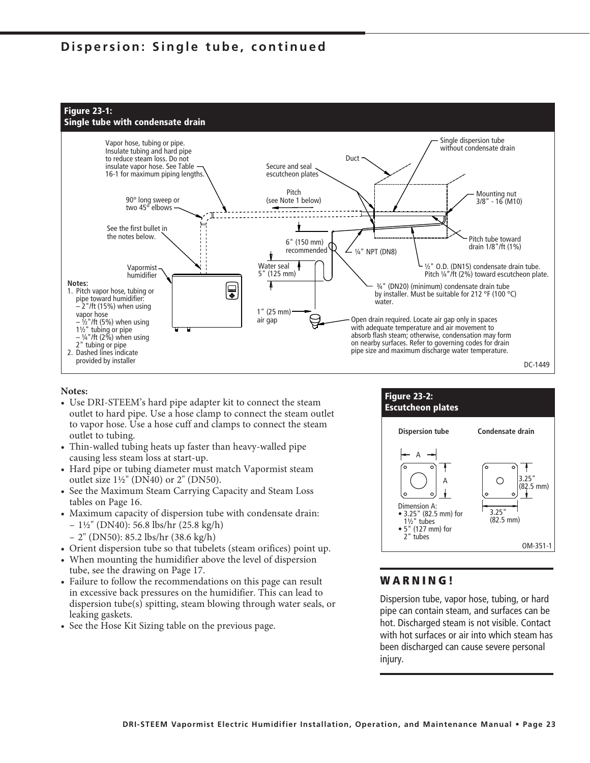### **Dispersion: Single tube, continued**



#### **Notes:**

- Use DRI-STEEM's hard pipe adapter kit to connect the steam outlet to hard pipe. Use a hose clamp to connect the steam outlet to vapor hose. Use a hose cuff and clamps to connect the steam outlet to tubing.
- Thin-walled tubing heats up faster than heavy-walled pipe causing less steam loss at start-up.
- Hard pipe or tubing diameter must match Vapormist steam outlet size  $1\frac{1}{2}$ " (DN40) or 2" (DN50).
- See the Maximum Steam Carrying Capacity and Steam Loss tables on Page 16.
- Maximum capacity of dispersion tube with condensate drain:  $-1\frac{1}{2}$ " (DN40): 56.8 lbs/hr (25.8 kg/h)
	- 2" (DN50): 85.2 lbs/hr (38.6 kg/h)
- Orient dispersion tube so that tubelets (steam orifices) point up.
- When mounting the humidifier above the level of dispersion tube, see the drawing on Page 17.
- Failure to follow the recommendations on this page can result in excessive back pressures on the humidifier. This can lead to dispersion tube(s) spitting, steam blowing through water seals, or leaking gaskets.
- See the Hose Kit Sizing table on the previous page.



#### **WARNING!**

Dispersion tube, vapor hose, tubing, or hard pipe can contain steam, and surfaces can be hot. Discharged steam is not visible. Contact with hot surfaces or air into which steam has been discharged can cause severe personal injury.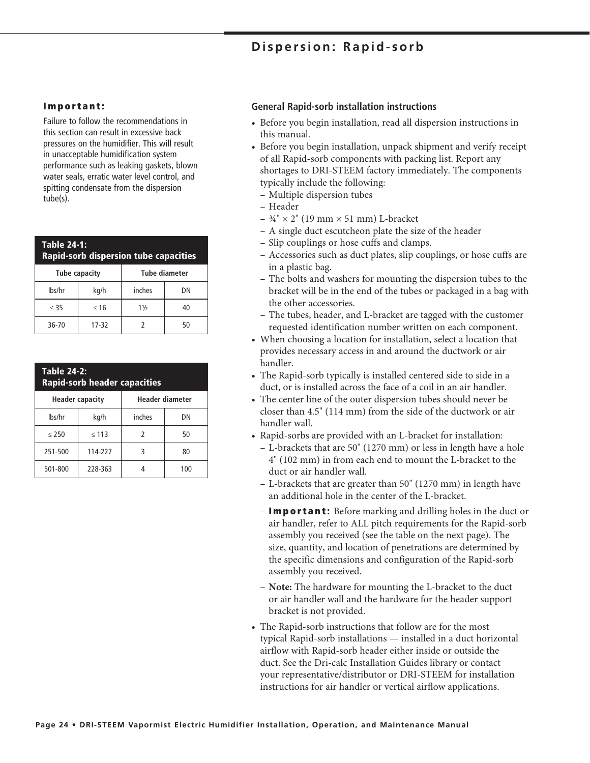### **Dispersion: Rapid-sorb**

#### **Important:**

Failure to follow the recommendations in this section can result in excessive back pressures on the humidifier. This will result in unacceptable humidification system performance such as leaking gaskets, blown water seals, erratic water level control, and spitting condensate from the dispersion tube(s).

| <b>Table 24-1:</b><br><b>Rapid-sorb dispersion tube capacities</b> |           |                |    |  |  |  |  |  |
|--------------------------------------------------------------------|-----------|----------------|----|--|--|--|--|--|
| <b>Tube diameter</b><br><b>Tube capacity</b>                       |           |                |    |  |  |  |  |  |
| lbs/hr                                                             | kg/h      | inches         | DΝ |  |  |  |  |  |
| $\leq$ 35                                                          | $\leq 16$ | $1\frac{1}{2}$ | 40 |  |  |  |  |  |
| 36-70                                                              | 17-32     |                | 50 |  |  |  |  |  |

| <b>Table 24-2:</b><br><b>Rapid-sorb header capacities</b> |            |        |     |  |  |  |  |  |
|-----------------------------------------------------------|------------|--------|-----|--|--|--|--|--|
| Header diameter<br><b>Header capacity</b>                 |            |        |     |  |  |  |  |  |
| lbs/hr                                                    | kg/h       | inches | DN  |  |  |  |  |  |
| < 250                                                     | $\leq 113$ | 2      | 50  |  |  |  |  |  |
| 251-500                                                   | 114-227    | ξ      | 80  |  |  |  |  |  |
| 501-800                                                   | 228-363    |        | 100 |  |  |  |  |  |

#### **General Rapid-sorb installation instructions**

- Before you begin installation, read all dispersion instructions in this manual.
- Before you begin installation, unpack shipment and verify receipt of all Rapid-sorb components with packing list. Report any shortages to DRI-STEEM factory immediately. The components typically include the following:
- Multiple dispersion tubes
- Header
- $\frac{3}{4}$ " × 2" (19 mm × 51 mm) L-bracket
- A single duct escutcheon plate the size of the header
- Slip couplings or hose cuffs and clamps.
- Accessories such as duct plates, slip couplings, or hose cuffs are in a plastic bag.
- The bolts and washers for mounting the dispersion tubes to the bracket will be in the end of the tubes or packaged in a bag with the other accessories.
- The tubes, header, and L-bracket are tagged with the customer requested identification number written on each component.
- When choosing a location for installation, select a location that provides necessary access in and around the ductwork or air handler.
- The Rapid-sorb typically is installed centered side to side in a duct, or is installed across the face of a coil in an air handler.
- The center line of the outer dispersion tubes should never be closer than 4.5" (114 mm) from the side of the ductwork or air handler wall.
- Rapid-sorbs are provided with an L-bracket for installation:
	- L-brackets that are 50" (1270 mm) or less in length have a hole 4" (102 mm) in from each end to mount the L-bracket to the duct or air handler wall.
	- L-brackets that are greater than 50" (1270 mm) in length have an additional hole in the center of the L-bracket.
	- **Important:** Before marking and drilling holes in the duct or air handler, refer to ALL pitch requirements for the Rapid-sorb assembly you received (see the table on the next page). The size, quantity, and location of penetrations are determined by the specific dimensions and configuration of the Rapid-sorb assembly you received.
	- **Note:** The hardware for mounting the L-bracket to the duct or air handler wall and the hardware for the header support bracket is not provided.
- The Rapid-sorb instructions that follow are for the most typical Rapid-sorb installations — installed in a duct horizontal airflow with Rapid-sorb header either inside or outside the duct. See the Dri-calc Installation Guides library or contact your representative/distributor or DRI-STEEM for installation instructions for air handler or vertical airflow applications.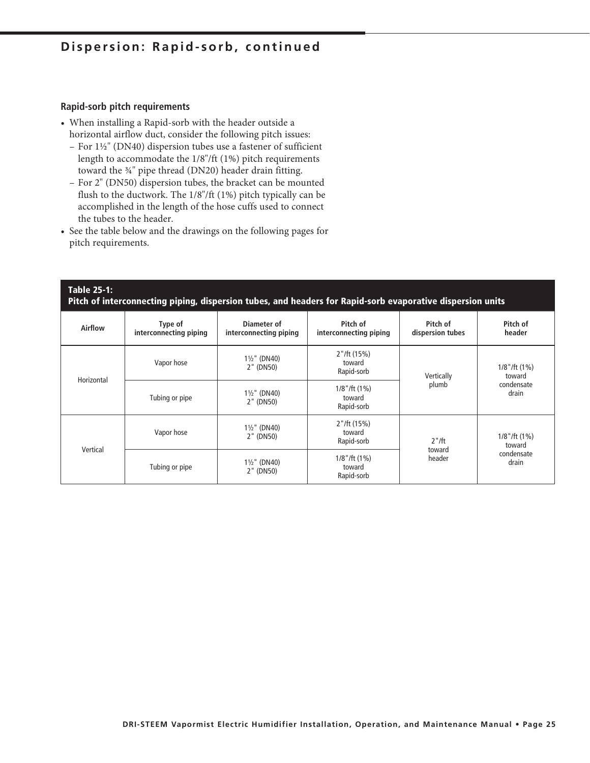#### **Rapid-sorb pitch requirements**

- When installing a Rapid-sorb with the header outside a horizontal airflow duct, consider the following pitch issues:
	- For 1½" (DN40) dispersion tubes use a fastener of sufficient length to accommodate the 1/8"/ft (1%) pitch requirements toward the ¾" pipe thread (DN20) header drain fitting.
	- For 2" (DN50) dispersion tubes, the bracket can be mounted flush to the ductwork. The 1/8"/ft (1%) pitch typically can be accomplished in the length of the hose cuffs used to connect the tubes to the header.
- See the table below and the drawings on the following pages for pitch requirements.

#### **Table 25-1: Pitch of interconnecting piping, dispersion tubes, and headers for Rapid-sorb evaporative dispersion units**

| <b>Airflow</b> | Type of<br>interconnecting piping | Diameter of<br>interconnecting piping | Pitch of<br>interconnecting piping              | Pitch of<br>dispersion tubes | Pitch of<br>header          |  |
|----------------|-----------------------------------|---------------------------------------|-------------------------------------------------|------------------------------|-----------------------------|--|
| Horizontal     | Vapor hose                        | $1\frac{1}{2}$ " (DN40)<br>2" (DN50)  | 2''/ft(15%)<br>toward<br>Rapid-sorb             | Vertically                   | $1/8$ "/ft $(1%)$<br>toward |  |
|                | Tubing or pipe                    | $1\frac{1}{2}$ " (DN40)<br>2" (DN50)  | $1/8$ "/ft $(1%)$<br>toward<br>Rapid-sorb       | plumb                        | condensate<br>drain         |  |
| Vertical       | Vapor hose                        | $1\frac{1}{2}$ " (DN40)<br>2" (DN50)  | 2''/ft(15%)<br>toward<br>$2"$ /ft<br>Rapid-sorb |                              | $1/8$ "/ft $(1%)$<br>toward |  |
|                | Tubing or pipe                    | $1\frac{1}{2}$ " (DN40)<br>2" (DN50)  | $1/8$ "/ft $(1%)$<br>toward<br>Rapid-sorb       | toward<br>header             | condensate<br>drain         |  |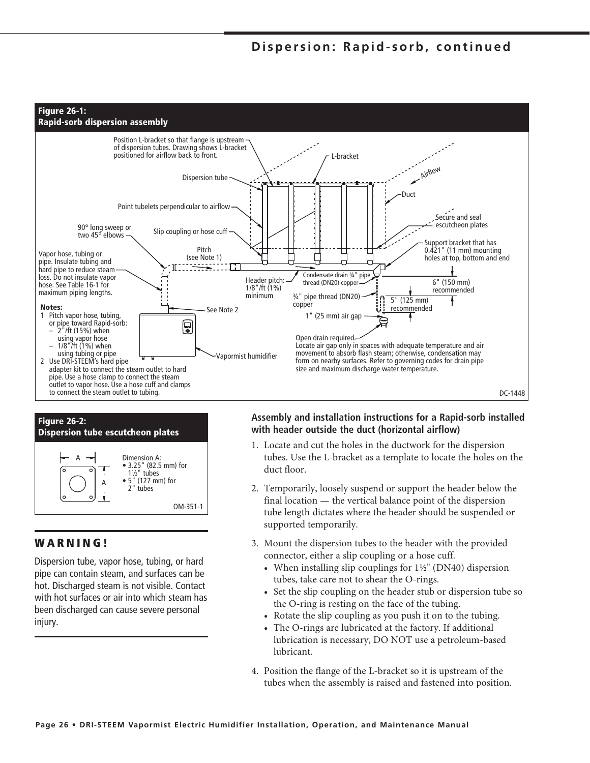



#### **WARNING!**

Dispersion tube, vapor hose, tubing, or hard pipe can contain steam, and surfaces can be hot. Discharged steam is not visible. Contact with hot surfaces or air into which steam has been discharged can cause severe personal injury.

#### **Assembly and installation instructions for a Rapid-sorb installed with header outside the duct (horizontal airflow)**

- 1. Locate and cut the holes in the ductwork for the dispersion tubes. Use the L-bracket as a template to locate the holes on the duct floor.
- 2. Temporarily, loosely suspend or support the header below the final location — the vertical balance point of the dispersion tube length dictates where the header should be suspended or supported temporarily.
- 3. Mount the dispersion tubes to the header with the provided connector, either a slip coupling or a hose cuff.
	- When installing slip couplings for  $1\frac{1}{2}$ " (DN40) dispersion tubes, take care not to shear the O-rings.
	- Set the slip coupling on the header stub or dispersion tube so the O-ring is resting on the face of the tubing.
	- Rotate the slip coupling as you push it on to the tubing.
	- The O-rings are lubricated at the factory. If additional lubrication is necessary, DO NOT use a petroleum-based lubricant.
- 4. Position the flange of the L-bracket so it is upstream of the tubes when the assembly is raised and fastened into position.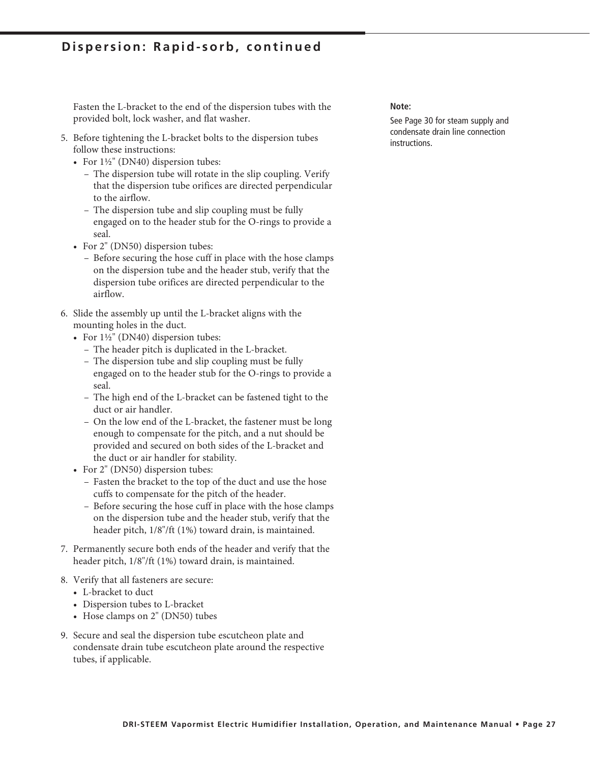Fasten the L-bracket to the end of the dispersion tubes with the provided bolt, lock washer, and flat washer.

- 5. Before tightening the L-bracket bolts to the dispersion tubes follow these instructions:
	- For  $1\frac{1}{2}$ " (DN40) dispersion tubes:
		- The dispersion tube will rotate in the slip coupling. Verify that the dispersion tube orifices are directed perpendicular to the airflow.
		- The dispersion tube and slip coupling must be fully engaged on to the header stub for the O-rings to provide a seal.
	- For 2" (DN50) dispersion tubes:
		- Before securing the hose cuff in place with the hose clamps on the dispersion tube and the header stub, verify that the dispersion tube orifices are directed perpendicular to the airflow.
- 6. Slide the assembly up until the L-bracket aligns with the mounting holes in the duct.
	- For  $1\frac{1}{2}$ " (DN40) dispersion tubes:
		- The header pitch is duplicated in the L-bracket.
		- The dispersion tube and slip coupling must be fully engaged on to the header stub for the O-rings to provide a seal.
		- The high end of the L-bracket can be fastened tight to the duct or air handler.
		- On the low end of the L-bracket, the fastener must be long enough to compensate for the pitch, and a nut should be provided and secured on both sides of the L-bracket and the duct or air handler for stability.
	- For 2" (DN50) dispersion tubes:
		- Fasten the bracket to the top of the duct and use the hose cuffs to compensate for the pitch of the header.
		- Before securing the hose cuff in place with the hose clamps on the dispersion tube and the header stub, verify that the header pitch, 1/8"/ft (1%) toward drain, is maintained.
- 7. Permanently secure both ends of the header and verify that the header pitch, 1/8"/ft (1%) toward drain, is maintained.
- 8. Verify that all fasteners are secure:
	- L-bracket to duct
	- Dispersion tubes to L-bracket
	- Hose clamps on 2" (DN50) tubes
- 9. Secure and seal the dispersion tube escutcheon plate and condensate drain tube escutcheon plate around the respective tubes, if applicable.

#### **Note:**

See Page 30 for steam supply and condensate drain line connection instructions.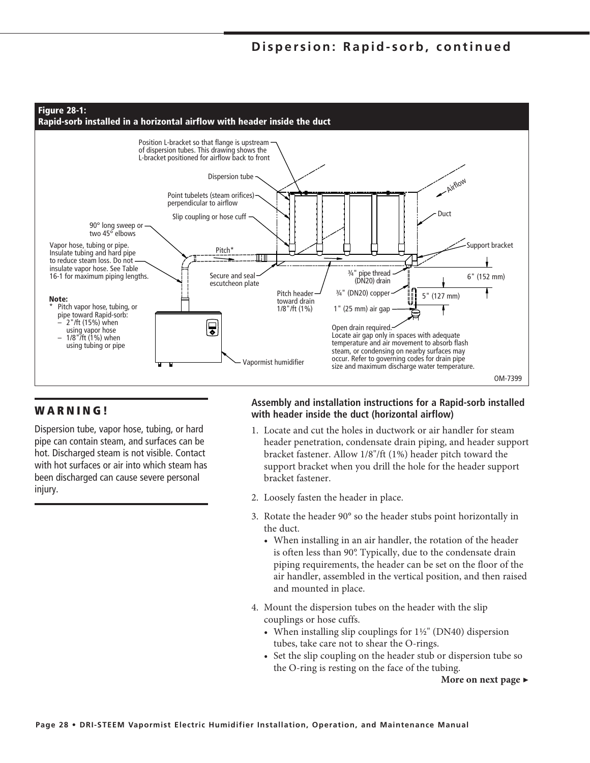

### **WARNING!**

Dispersion tube, vapor hose, tubing, or hard pipe can contain steam, and surfaces can be hot. Discharged steam is not visible. Contact with hot surfaces or air into which steam has been discharged can cause severe personal injury.

#### **Assembly and installation instructions for a Rapid-sorb installed with header inside the duct (horizontal airflow)**

- 1. Locate and cut the holes in ductwork or air handler for steam header penetration, condensate drain piping, and header support bracket fastener. Allow 1/8"/ft (1%) header pitch toward the support bracket when you drill the hole for the header support bracket fastener.
- 2. Loosely fasten the header in place.
- 3. Rotate the header 90° so the header stubs point horizontally in the duct.
	- When installing in an air handler, the rotation of the header is often less than 90°. Typically, due to the condensate drain piping requirements, the header can be set on the floor of the air handler, assembled in the vertical position, and then raised and mounted in place.
- 4. Mount the dispersion tubes on the header with the slip couplings or hose cuffs.
	- When installing slip couplings for  $1\frac{1}{2}$ " (DN40) dispersion tubes, take care not to shear the O-rings.
	- Set the slip coupling on the header stub or dispersion tube so the O-ring is resting on the face of the tubing.

**More on next page** ▶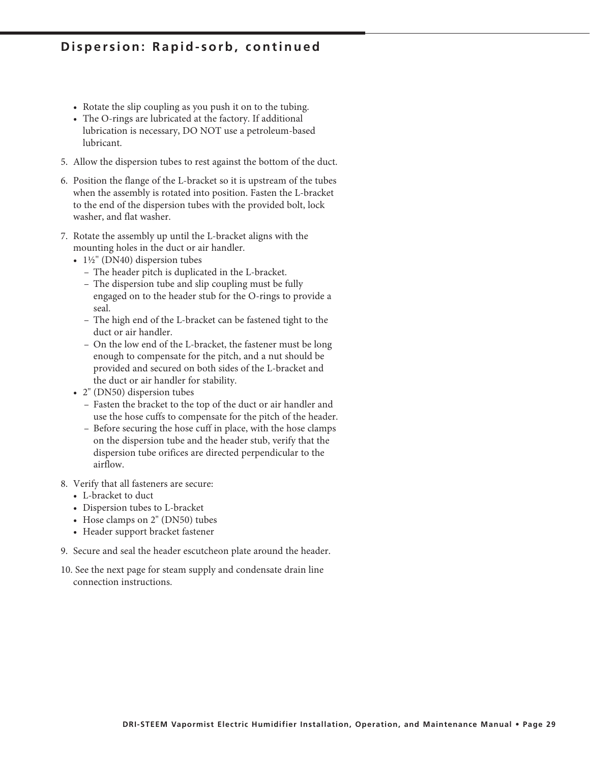- Rotate the slip coupling as you push it on to the tubing.
- The O-rings are lubricated at the factory. If additional lubrication is necessary, DO NOT use a petroleum-based lubricant.
- 5. Allow the dispersion tubes to rest against the bottom of the duct.
- 6. Position the flange of the L-bracket so it is upstream of the tubes when the assembly is rotated into position. Fasten the L-bracket to the end of the dispersion tubes with the provided bolt, lock washer, and flat washer.
- 7. Rotate the assembly up until the L-bracket aligns with the mounting holes in the duct or air handler.
	- 1½" (DN40) dispersion tubes
		- The header pitch is duplicated in the L-bracket.
		- The dispersion tube and slip coupling must be fully engaged on to the header stub for the O-rings to provide a seal.
		- The high end of the L-bracket can be fastened tight to the duct or air handler.
		- On the low end of the L-bracket, the fastener must be long enough to compensate for the pitch, and a nut should be provided and secured on both sides of the L-bracket and the duct or air handler for stability.
	- 2" (DN50) dispersion tubes
		- Fasten the bracket to the top of the duct or air handler and use the hose cuffs to compensate for the pitch of the header.
		- Before securing the hose cuff in place, with the hose clamps on the dispersion tube and the header stub, verify that the dispersion tube orifices are directed perpendicular to the airflow.
- 8. Verify that all fasteners are secure:
	- L-bracket to duct
	- Dispersion tubes to L-bracket
	- Hose clamps on 2" (DN50) tubes
	- Header support bracket fastener
- 9. Secure and seal the header escutcheon plate around the header.
- 10. See the next page for steam supply and condensate drain line connection instructions.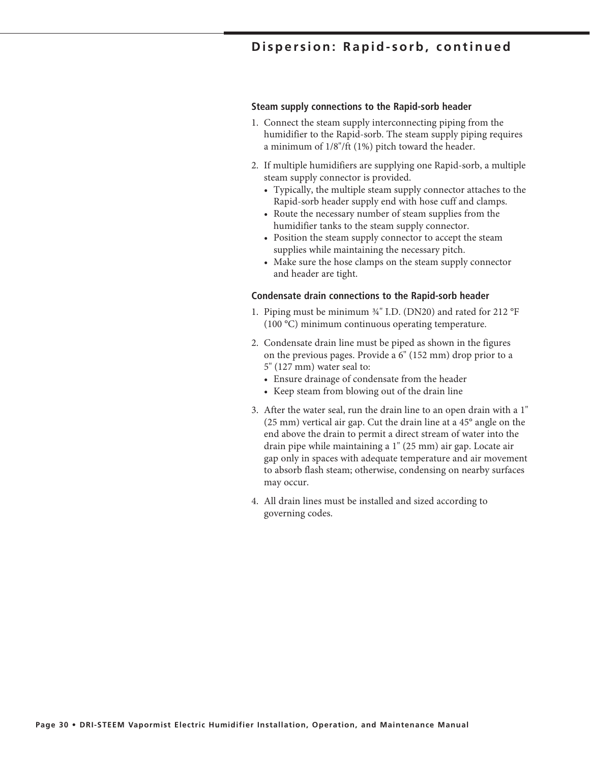#### **Steam supply connections to the Rapid-sorb header**

- 1. Connect the steam supply interconnecting piping from the humidifier to the Rapid-sorb. The steam supply piping requires a minimum of 1/8"/ft (1%) pitch toward the header.
- 2. If multiple humidifiers are supplying one Rapid-sorb, a multiple steam supply connector is provided.
	- Typically, the multiple steam supply connector attaches to the Rapid-sorb header supply end with hose cuff and clamps.
	- Route the necessary number of steam supplies from the humidifier tanks to the steam supply connector.
	- Position the steam supply connector to accept the steam supplies while maintaining the necessary pitch.
	- Make sure the hose clamps on the steam supply connector and header are tight.

#### **Condensate drain connections to the Rapid-sorb header**

- 1. Piping must be minimum ¾" I.D. (DN20) and rated for 212 °F (100 °C) minimum continuous operating temperature.
- 2. Condensate drain line must be piped as shown in the figures on the previous pages. Provide a 6" (152 mm) drop prior to a 5" (127 mm) water seal to:
	- Ensure drainage of condensate from the header
	- Keep steam from blowing out of the drain line
- 3. After the water seal, run the drain line to an open drain with a 1" (25 mm) vertical air gap. Cut the drain line at a 45° angle on the end above the drain to permit a direct stream of water into the drain pipe while maintaining a 1" (25 mm) air gap. Locate air gap only in spaces with adequate temperature and air movement to absorb flash steam; otherwise, condensing on nearby surfaces may occur.
- 4. All drain lines must be installed and sized according to governing codes.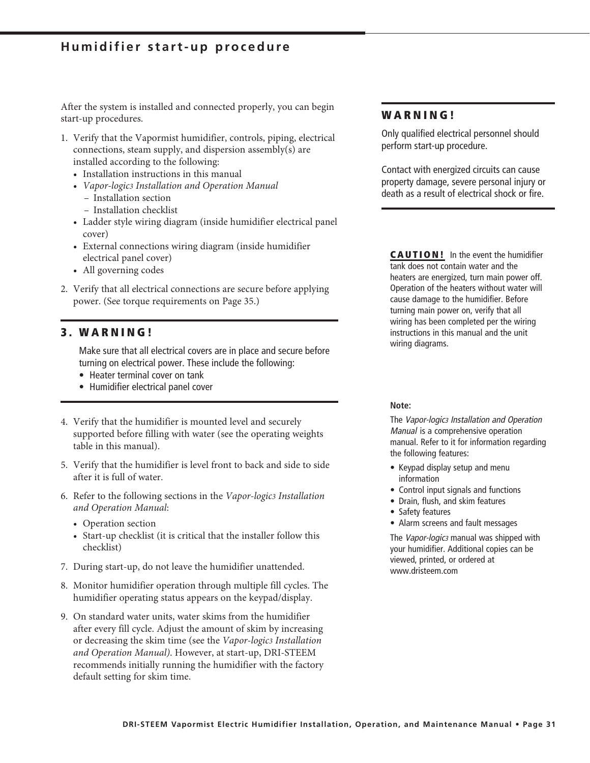### **Humidifier start-up procedure**

After the system is installed and connected properly, you can begin start-up procedures.

- 1. Verify that the Vapormist humidifier, controls, piping, electrical connections, steam supply, and dispersion assembly(s) are installed according to the following:
	- Installation instructions in this manual
	- *Vapor-logic3 Installation and Operation Manual* 
		- Installation section
		- Installation checklist
	- Ladder style wiring diagram (inside humidifier electrical panel cover)
	- External connections wiring diagram (inside humidifier electrical panel cover)
	- All governing codes
- 2. Verify that all electrical connections are secure before applying power. (See torque requirements on Page 35.)

#### **3 . W A R N I N G !**

Make sure that all electrical covers are in place and secure before turning on electrical power. These include the following:

- Heater terminal cover on tank
- Humidifier electrical panel cover
- 4. Verify that the humidifier is mounted level and securely supported before filling with water (see the operating weights table in this manual).
- 5. Verify that the humidifier is level front to back and side to side after it is full of water.
- 6. Refer to the following sections in the *Vapor-logic3 Installation and Operation Manual*:
	- Operation section
	- Start-up checklist (it is critical that the installer follow this checklist)
- 7. During start-up, do not leave the humidifier unattended.
- 8. Monitor humidifier operation through multiple fill cycles. The humidifier operating status appears on the keypad/display.
- 9. On standard water units, water skims from the humidifier after every fill cycle. Adjust the amount of skim by increasing or decreasing the skim time (see the *Vapor-logic3 Installation and Operation Manual)*. However, at start-up, DRI-STEEM recommends initially running the humidifier with the factory default setting for skim time.

#### **WARNING!**

Only qualified electrical personnel should perform start-up procedure.

Contact with energized circuits can cause property damage, severe personal injury or death as a result of electrical shock or fire.

**CAUTION!** In the event the humidifier tank does not contain water and the heaters are energized, turn main power off. Operation of the heaters without water will cause damage to the humidifier. Before turning main power on, verify that all wiring has been completed per the wiring instructions in this manual and the unit wiring diagrams.

#### **Note:**

The Vapor-logic3 Installation and Operation Manual is a comprehensive operation manual. Refer to it for information regarding the following features:

- Keypad display setup and menu information
- Control input signals and functions
- Drain, flush, and skim features
- Safety features
- Alarm screens and fault messages

The Vapor-logic3 manual was shipped with your humidifier. Additional copies can be viewed, printed, or ordered at www.dristeem.com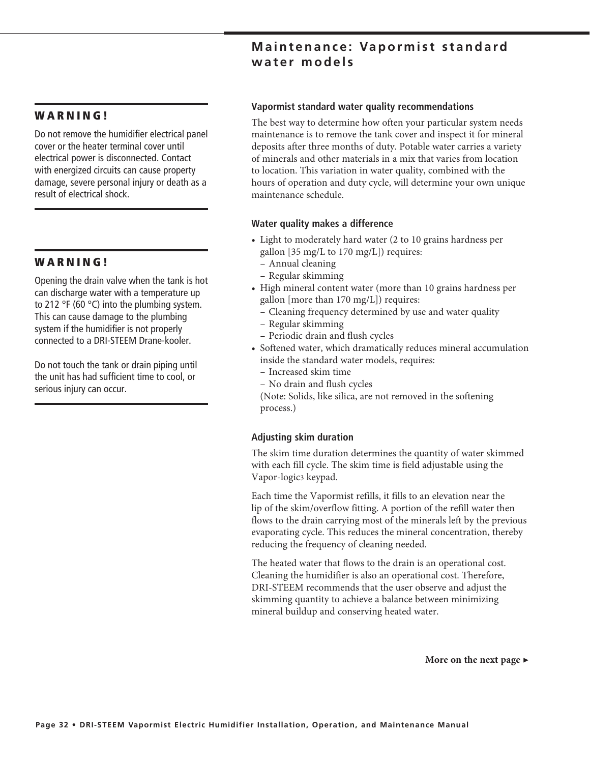### **Maintenance: Vapormist standard water models**

#### **W A R N I N G !**

Do not remove the humidifier electrical panel cover or the heater terminal cover until electrical power is disconnected. Contact with energized circuits can cause property damage, severe personal injury or death as a result of electrical shock.

#### **W A R N I N G !**

Opening the drain valve when the tank is hot can discharge water with a temperature up to 212 °F (60 °C) into the plumbing system. This can cause damage to the plumbing system if the humidifier is not properly connected to a DRI-STEEM Drane-kooler.

Do not touch the tank or drain piping until the unit has had sufficient time to cool, or serious injury can occur.

#### **Vapormist standard water quality recommendations**

The best way to determine how often your particular system needs maintenance is to remove the tank cover and inspect it for mineral deposits after three months of duty. Potable water carries a variety of minerals and other materials in a mix that varies from location to location. This variation in water quality, combined with the hours of operation and duty cycle, will determine your own unique maintenance schedule.

#### **Water quality makes a difference**

- Light to moderately hard water (2 to 10 grains hardness per gallon [35 mg/L to 170 mg/L]) requires:
	- Annual cleaning
	- Regular skimming
- High mineral content water (more than 10 grains hardness per gallon [more than 170 mg/L]) requires:
	- Cleaning frequency determined by use and water quality
	- Regular skimming
	- Periodic drain and flush cycles
- Softened water, which dramatically reduces mineral accumulation inside the standard water models, requires:
	- Increased skim time
	- No drain and flush cycles

 (Note: Solids, like silica, are not removed in the softening process.)

#### **Adjusting skim duration**

The skim time duration determines the quantity of water skimmed with each fill cycle. The skim time is field adjustable using the Vapor-logic3 keypad.

Each time the Vapormist refills, it fills to an elevation near the lip of the skim/overflow fitting. A portion of the refill water then flows to the drain carrying most of the minerals left by the previous evaporating cycle. This reduces the mineral concentration, thereby reducing the frequency of cleaning needed.

The heated water that flows to the drain is an operational cost. Cleaning the humidifier is also an operational cost. Therefore, DRI-STEEM recommends that the user observe and adjust the skimming quantity to achieve a balance between minimizing mineral buildup and conserving heated water.

**More on the next page ▶**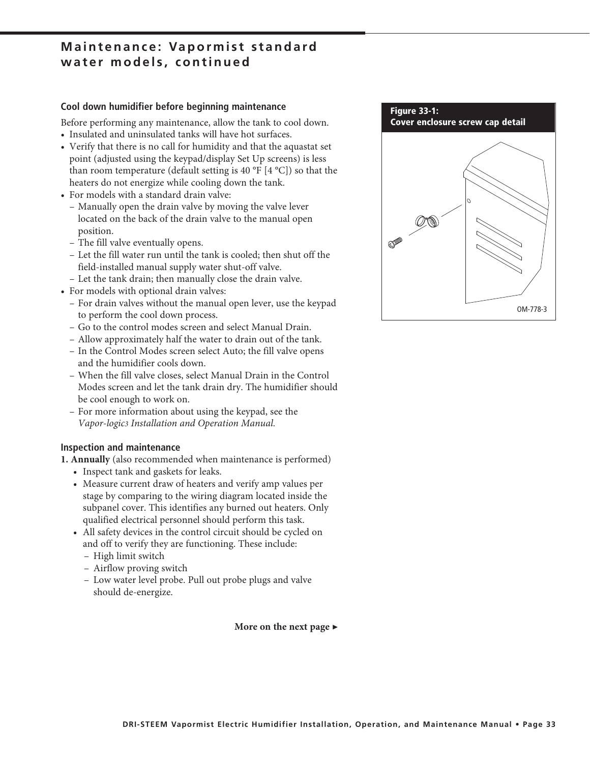### **Maintenance: Vapormist standard water models, continued**

#### **Cool down humidifier before beginning maintenance**

Before performing any maintenance, allow the tank to cool down.

- Insulated and uninsulated tanks will have hot surfaces.
- Verify that there is no call for humidity and that the aquastat set point (adjusted using the keypad/display Set Up screens) is less than room temperature (default setting is 40  $\degree$ F [4  $\degree$ C]) so that the heaters do not energize while cooling down the tank.
- For models with a standard drain valve:
	- Manually open the drain valve by moving the valve lever located on the back of the drain valve to the manual open position.
	- The fill valve eventually opens.
	- Let the fill water run until the tank is cooled; then shut off the field-installed manual supply water shut-off valve.
	- Let the tank drain; then manually close the drain valve.
- For models with optional drain valves:
	- For drain valves without the manual open lever, use the keypad to perform the cool down process.
	- Go to the control modes screen and select Manual Drain.
	- Allow approximately half the water to drain out of the tank.
	- In the Control Modes screen select Auto; the fill valve opens and the humidifier cools down.
	- When the fill valve closes, select Manual Drain in the Control Modes screen and let the tank drain dry. The humidifier should be cool enough to work on.
	- For more information about using the keypad, see the *Vapor-logic3 Installation and Operation Manual.*

#### **Inspection and maintenance**

**1. Annually** (also recommended when maintenance is performed)

- Inspect tank and gaskets for leaks.
- Measure current draw of heaters and verify amp values per stage by comparing to the wiring diagram located inside the subpanel cover. This identifies any burned out heaters. Only qualified electrical personnel should perform this task.
- All safety devices in the control circuit should be cycled on and off to verify they are functioning. These include:
	- High limit switch
	- Airflow proving switch
	- Low water level probe. Pull out probe plugs and valve should de-energize.

**More on the next page ▶**

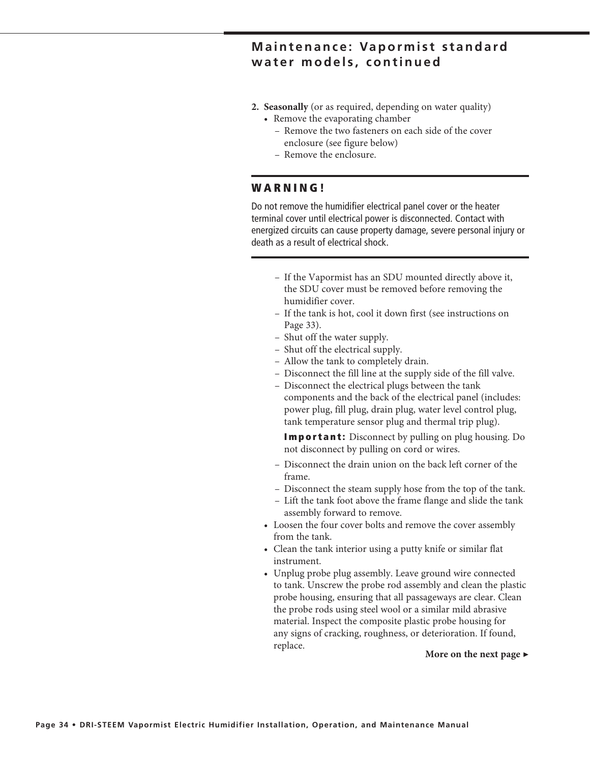### **Maintenance: Vapormist standard water models, continued**

- **2. Seasonally** (or as required, depending on water quality)
	- Remove the evaporating chamber
		- Remove the two fasteners on each side of the cover enclosure (see figure below)
		- Remove the enclosure.

#### **W A R N I N G !**

Do not remove the humidifier electrical panel cover or the heater terminal cover until electrical power is disconnected. Contact with energized circuits can cause property damage, severe personal injury or death as a result of electrical shock.

- If the Vapormist has an SDU mounted directly above it, the SDU cover must be removed before removing the humidifier cover.
- If the tank is hot, cool it down first (see instructions on Page 33).
- Shut off the water supply.
- Shut off the electrical supply.
- Allow the tank to completely drain.
- Disconnect the fill line at the supply side of the fill valve.
- Disconnect the electrical plugs between the tank components and the back of the electrical panel (includes: power plug, fill plug, drain plug, water level control plug, tank temperature sensor plug and thermal trip plug).

 **Important:** Disconnect by pulling on plug housing. Do not disconnect by pulling on cord or wires.

- Disconnect the drain union on the back left corner of the frame.
- Disconnect the steam supply hose from the top of the tank.
- Lift the tank foot above the frame flange and slide the tank assembly forward to remove.
- Loosen the four cover bolts and remove the cover assembly from the tank.
- Clean the tank interior using a putty knife or similar flat instrument.
- Unplug probe plug assembly. Leave ground wire connected to tank. Unscrew the probe rod assembly and clean the plastic probe housing, ensuring that all passageways are clear. Clean the probe rods using steel wool or a similar mild abrasive material. Inspect the composite plastic probe housing for any signs of cracking, roughness, or deterioration. If found, replace. **More on the next page ▶**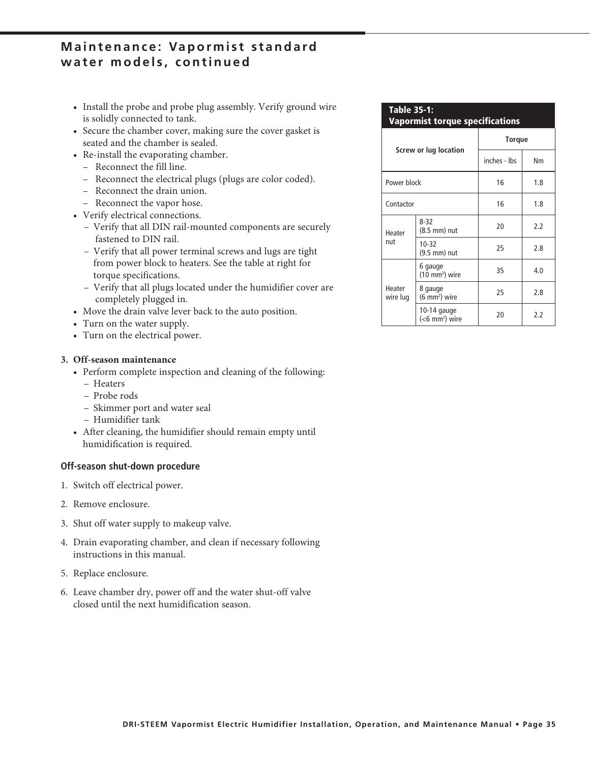### **Maintenance: Vapormist standard water models, continued**

- Install the probe and probe plug assembly. Verify ground wire is solidly connected to tank.
- Secure the chamber cover, making sure the cover gasket is seated and the chamber is sealed.
- Re-install the evaporating chamber.
	- Reconnect the fill line.
	- Reconnect the electrical plugs (plugs are color coded).
	- Reconnect the drain union.
	- Reconnect the vapor hose.
- Verify electrical connections.
	- Verify that all DIN rail-mounted components are securely fastened to DIN rail.
	- Verify that all power terminal screws and lugs are tight from power block to heaters. See the table at right for torque specifications.
	- Verify that all plugs located under the humidifier cover are completely plugged in.
- Move the drain valve lever back to the auto position.
- Turn on the water supply.
- Turn on the electrical power.

#### **3. Off-season maintenance**

- Perform complete inspection and cleaning of the following:
	- Heaters
	- Probe rods
	- Skimmer port and water seal
	- Humidifier tank
- After cleaning, the humidifier should remain empty until humidification is required.

#### **Off-season shut-down procedure**

- 1. Switch off electrical power.
- 2. Remove enclosure.
- 3. Shut off water supply to makeup valve.
- 4. Drain evaporating chamber, and clean if necessary following instructions in this manual.
- 5. Replace enclosure.
- 6. Leave chamber dry, power off and the water shut-off valve closed until the next humidification season.

#### **Table 35-1:**

**Vapormist torque specifications**

|                    |                                            | <b>Torque</b> |     |  |  |
|--------------------|--------------------------------------------|---------------|-----|--|--|
|                    | Screw or lug location                      | inches - Ibs  | Nm  |  |  |
| Power block        |                                            | 16            | 1.8 |  |  |
| Contactor          |                                            | 16            | 1.8 |  |  |
| Heater<br>nut      | $8 - 32$<br>(8.5 mm) nut                   | 20            | 2.2 |  |  |
|                    | 10-32<br>(9.5 mm) nut                      | 25            | 2.8 |  |  |
|                    | 6 gauge<br>(10 mm <sup>2</sup> ) wire      | 35            | 4.0 |  |  |
| Heater<br>wire lug | 8 gauge<br>(6 mm <sup>2</sup> ) wire       | 25            | 2.8 |  |  |
|                    | 10-14 gauge<br>$(6$ mm <sup>2</sup> ) wire | 20            | 2.2 |  |  |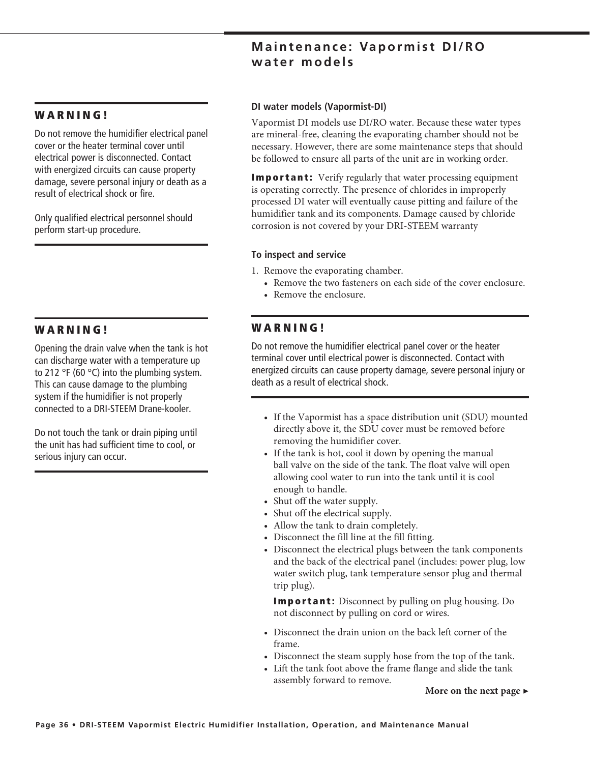### **Maintenance: Vapormist DI/RO water models**

### **WARNING!**

Do not remove the humidifier electrical panel cover or the heater terminal cover until electrical power is disconnected. Contact with energized circuits can cause property damage, severe personal injury or death as a result of electrical shock or fire.

Only qualified electrical personnel should perform start-up procedure.

### **W A R N I N G !**

Opening the drain valve when the tank is hot can discharge water with a temperature up to 212 °F (60 °C) into the plumbing system. This can cause damage to the plumbing system if the humidifier is not properly connected to a DRI-STEEM Drane-kooler.

Do not touch the tank or drain piping until the unit has had sufficient time to cool, or serious injury can occur.

#### **DI water models (Vapormist-DI)**

Vapormist DI models use DI/RO water. Because these water types are mineral-free, cleaning the evaporating chamber should not be necessary. However, there are some maintenance steps that should be followed to ensure all parts of the unit are in working order.

**Important:** Verify regularly that water processing equipment is operating correctly. The presence of chlorides in improperly processed DI water will eventually cause pitting and failure of the humidifier tank and its components. Damage caused by chloride corrosion is not covered by your DRI-STEEM warranty

#### **To inspect and service**

1. Remove the evaporating chamber.

- Remove the two fasteners on each side of the cover enclosure.
- Remove the enclosure.

### **W A R N I N G !**

Do not remove the humidifier electrical panel cover or the heater terminal cover until electrical power is disconnected. Contact with energized circuits can cause property damage, severe personal injury or death as a result of electrical shock.

- If the Vapormist has a space distribution unit (SDU) mounted directly above it, the SDU cover must be removed before removing the humidifier cover.
- If the tank is hot, cool it down by opening the manual ball valve on the side of the tank. The float valve will open allowing cool water to run into the tank until it is cool enough to handle.
- Shut off the water supply.
- Shut off the electrical supply.
- Allow the tank to drain completely.
- Disconnect the fill line at the fill fitting.
- Disconnect the electrical plugs between the tank components and the back of the electrical panel (includes: power plug, low water switch plug, tank temperature sensor plug and thermal trip plug).

 **Important:** Disconnect by pulling on plug housing. Do not disconnect by pulling on cord or wires.

- Disconnect the drain union on the back left corner of the frame.
- Disconnect the steam supply hose from the top of the tank.
- Lift the tank foot above the frame flange and slide the tank assembly forward to remove.

#### **More on the next page ▶**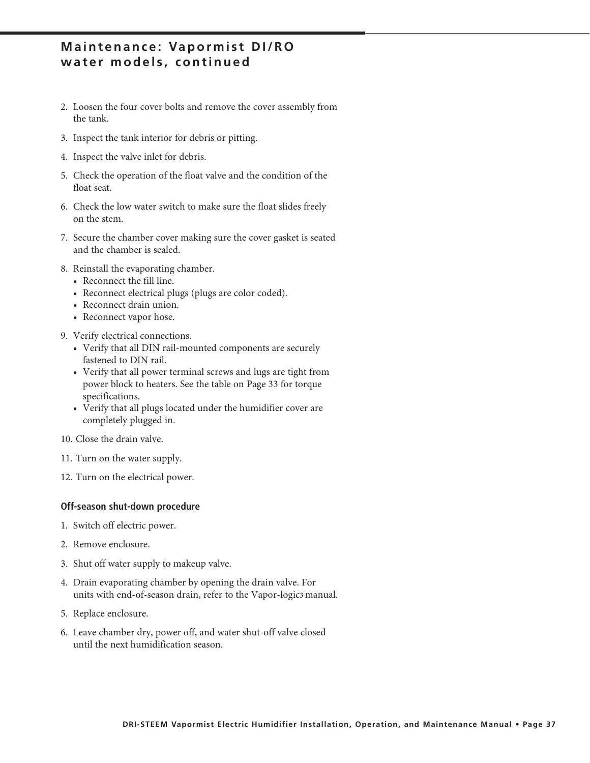### **Maintenance: Vapormist DI/RO water models, continued**

- 2. Loosen the four cover bolts and remove the cover assembly from the tank.
- 3. Inspect the tank interior for debris or pitting.
- 4. Inspect the valve inlet for debris.
- 5. Check the operation of the float valve and the condition of the float seat.
- 6. Check the low water switch to make sure the float slides freely on the stem.
- 7. Secure the chamber cover making sure the cover gasket is seated and the chamber is sealed.
- 8. Reinstall the evaporating chamber.
	- Reconnect the fill line.
	- Reconnect electrical plugs (plugs are color coded).
	- Reconnect drain union.
	- Reconnect vapor hose.
- 9. Verify electrical connections.
	- Verify that all DIN rail-mounted components are securely fastened to DIN rail.
	- Verify that all power terminal screws and lugs are tight from power block to heaters. See the table on Page 33 for torque specifications.
	- Verify that all plugs located under the humidifier cover are completely plugged in.
- 10. Close the drain valve.
- 11. Turn on the water supply.
- 12. Turn on the electrical power.

#### **Off-season shut-down procedure**

- 1. Switch off electric power.
- 2. Remove enclosure.
- 3. Shut off water supply to makeup valve.
- 4. Drain evaporating chamber by opening the drain valve. For units with end-of-season drain, refer to the Vapor-logic3 manual.
- 5. Replace enclosure.
- 6. Leave chamber dry, power off, and water shut-off valve closed until the next humidification season.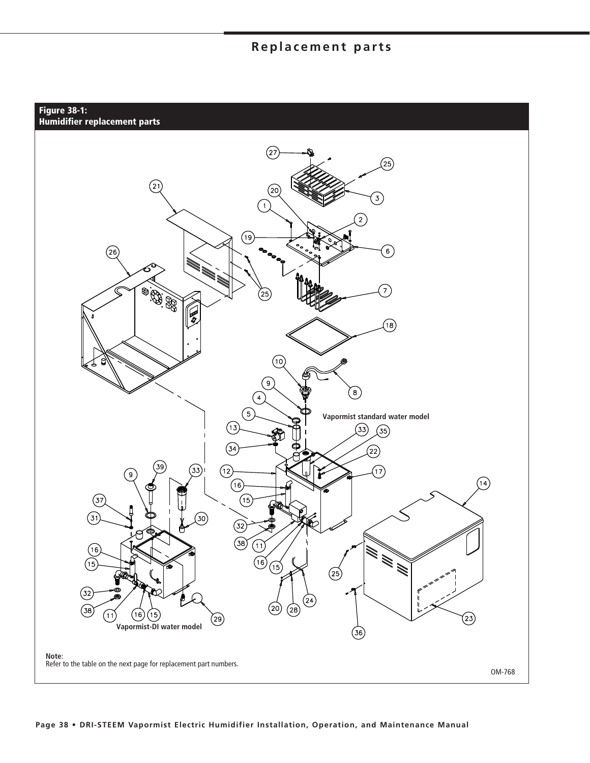### **Replacement parts**

**Figure 38-1: Humidifier replacement parts**

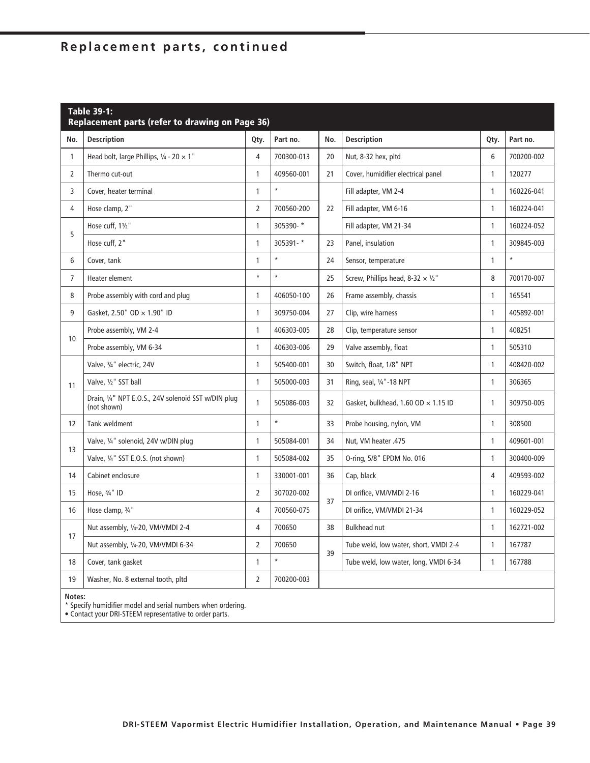| <b>Table 39-1:</b><br>Replacement parts (refer to drawing on Page 36) |                                                                    |                |            |     |                                            |              |            |
|-----------------------------------------------------------------------|--------------------------------------------------------------------|----------------|------------|-----|--------------------------------------------|--------------|------------|
| No.                                                                   | <b>Description</b>                                                 | Qty.           | Part no.   | No. | <b>Description</b>                         | Qty.         | Part no.   |
| $\mathbf{1}$                                                          | Head bolt, large Phillips, $\frac{1}{4}$ - 20 $\times$ 1"          | $\overline{4}$ | 700300-013 | 20  | Nut, 8-32 hex, pltd                        | 6            | 700200-002 |
| $\overline{2}$                                                        | Thermo cut-out                                                     | $\mathbf{1}$   | 409560-001 | 21  | Cover, humidifier electrical panel         | $\mathbf{1}$ | 120277     |
| 3                                                                     | Cover, heater terminal                                             | $\mathbf{1}$   | $\star$    |     | Fill adapter, VM 2-4                       | $\mathbf{1}$ | 160226-041 |
| 4                                                                     | Hose clamp, 2"                                                     | $\overline{2}$ | 700560-200 | 22  | Fill adapter, VM 6-16                      | $\mathbf{1}$ | 160224-041 |
| 5                                                                     | Hose cuff, 11/2"                                                   | $\mathbf{1}$   | 305390-*   |     | Fill adapter, VM 21-34                     | $\mathbf{1}$ | 160224-052 |
|                                                                       | Hose cuff, 2"                                                      | $\mathbf{1}$   | 305391-*   | 23  | Panel, insulation                          | $\mathbf{1}$ | 309845-003 |
| 6                                                                     | Cover, tank                                                        | 1              | $\star$    | 24  | Sensor, temperature                        | $\mathbf{1}$ | $\star$    |
| $\overline{7}$                                                        | Heater element                                                     | $\star$        | $\star$    | 25  | Screw, Phillips head, 8-32 $\times$ 1/2"   | 8            | 700170-007 |
| 8                                                                     | Probe assembly with cord and plug                                  | 1              | 406050-100 | 26  | Frame assembly, chassis                    | $\mathbf{1}$ | 165541     |
| 9                                                                     | Gasket, 2.50" OD × 1.90" ID                                        | 1              | 309750-004 | 27  | Clip, wire harness                         | $\mathbf{1}$ | 405892-001 |
| 10                                                                    | Probe assembly, VM 2-4                                             | $\mathbf{1}$   | 406303-005 | 28  | Clip, temperature sensor                   | $\mathbf{1}$ | 408251     |
|                                                                       | Probe assembly, VM 6-34                                            | $\mathbf{1}$   | 406303-006 | 29  | Valve assembly, float                      | $\mathbf{1}$ | 505310     |
|                                                                       | Valve, 3/4" electric, 24V                                          | 1              | 505400-001 | 30  | Switch, float, 1/8" NPT                    | 1            | 408420-002 |
| 11                                                                    | Valve, 1/2" SST ball                                               | $\mathbf{1}$   | 505000-003 | 31  | Ring, seal, 1/4"-18 NPT                    | $\mathbf{1}$ | 306365     |
|                                                                       | Drain, 1/4" NPT E.O.S., 24V solenoid SST w/DIN plug<br>(not shown) | $\mathbf{1}$   | 505086-003 | 32  | Gasket, bulkhead, 1.60 OD $\times$ 1.15 ID | $\mathbf{1}$ | 309750-005 |
| 12                                                                    | Tank weldment                                                      | 1              | $\star$    | 33  | Probe housing, nylon, VM                   | $\mathbf{1}$ | 308500     |
| 13                                                                    | Valve, 1/4" solenoid, 24V w/DIN plug                               | $\mathbf{1}$   | 505084-001 | 34  | Nut, VM heater .475                        | $\mathbf{1}$ | 409601-001 |
|                                                                       | Valve, 1/4" SST E.O.S. (not shown)                                 | $\mathbf{1}$   | 505084-002 | 35  | O-ring, 5/8" EPDM No. 016                  | $\mathbf{1}$ | 300400-009 |
| 14                                                                    | Cabinet enclosure                                                  | 1              | 330001-001 | 36  | Cap, black                                 | 4            | 409593-002 |
| 15                                                                    | Hose, 3/4" ID                                                      | $\overline{2}$ | 307020-002 | 37  | DI orifice, VM/VMDI 2-16                   | $\mathbf{1}$ | 160229-041 |
| 16                                                                    | Hose clamp, 3/4"                                                   | 4              | 700560-075 |     | DI orifice, VM/VMDI 21-34                  | $\mathbf{1}$ | 160229-052 |
| 17                                                                    | Nut assembly, 1/4-20, VM/VMDI 2-4                                  | $\overline{4}$ | 700650     | 38  | <b>Bulkhead nut</b>                        | $\mathbf{1}$ | 162721-002 |
|                                                                       | Nut assembly, 1/4-20, VM/VMDI 6-34                                 | $\overline{2}$ | 700650     | 39  | Tube weld, low water, short, VMDI 2-4      | $\mathbf{1}$ | 167787     |
| 18                                                                    | Cover, tank gasket                                                 | 1              | $\star$    |     | Tube weld, low water, long, VMDI 6-34      | $\mathbf{1}$ | 167788     |
| 19                                                                    | Washer, No. 8 external tooth, pltd                                 | $\overline{2}$ | 700200-003 |     |                                            |              |            |

**Notes:**

\* Specify humidifier model and serial numbers when ordering.

• Contact your DRI-STEEM representative to order parts.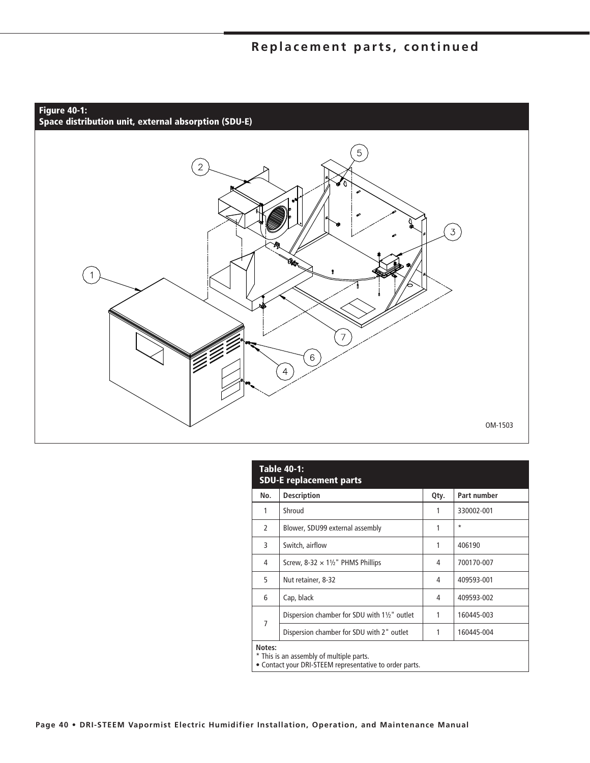

| <b>Table 40-1:</b><br><b>SDU-E replacement parts</b>                                                          |                                                         |      |             |  |  |  |
|---------------------------------------------------------------------------------------------------------------|---------------------------------------------------------|------|-------------|--|--|--|
| No.                                                                                                           | <b>Description</b>                                      | Qty. | Part number |  |  |  |
| 1                                                                                                             | Shroud                                                  | 1    | 330002-001  |  |  |  |
| $\mathcal{P}$                                                                                                 | Blower, SDU99 external assembly                         | 1    | $\star$     |  |  |  |
| 3                                                                                                             | Switch, airflow                                         | 1    | 406190      |  |  |  |
| 4                                                                                                             | Screw, 8-32 $\times$ 11/2" PHMS Phillips                | 4    | 700170-007  |  |  |  |
| 5                                                                                                             | Nut retainer, 8-32                                      | 4    | 409593-001  |  |  |  |
| 6                                                                                                             | Cap, black                                              | 4    | 409593-002  |  |  |  |
| 7                                                                                                             | Dispersion chamber for SDU with $1\frac{1}{2}$ " outlet | 1    | 160445-003  |  |  |  |
|                                                                                                               | Dispersion chamber for SDU with 2" outlet               | 1    | 160445-004  |  |  |  |
| Notes:<br>* This is an assembly of multiple parts.<br>• Contact your DRI-STEEM representative to order parts. |                                                         |      |             |  |  |  |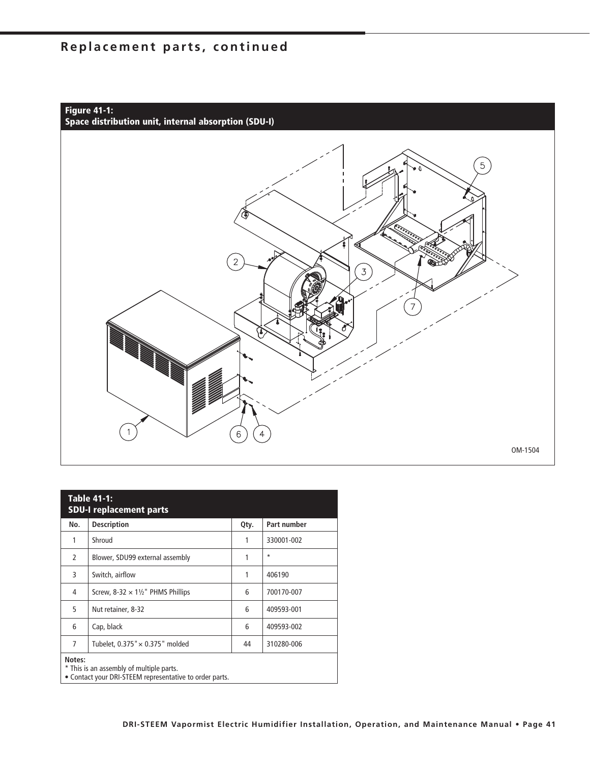

| <b>Table 41-1:</b><br><b>SDU-I replacement parts</b>                                                          |                                          |      |             |  |  |
|---------------------------------------------------------------------------------------------------------------|------------------------------------------|------|-------------|--|--|
| No.                                                                                                           | <b>Description</b>                       | Qty. | Part number |  |  |
| 1                                                                                                             | Shroud                                   | 1    | 330001-002  |  |  |
| 2                                                                                                             | Blower, SDU99 external assembly          | 1    | $\star$     |  |  |
| 3                                                                                                             | Switch, airflow                          | 1    | 406190      |  |  |
| 4                                                                                                             | Screw, 8-32 $\times$ 11/2" PHMS Phillips | 6    | 700170-007  |  |  |
| 5                                                                                                             | Nut retainer, 8-32                       | 6    | 409593-001  |  |  |
| 6                                                                                                             | Cap, black                               | 6    | 409593-002  |  |  |
| 7                                                                                                             | Tubelet, $0.375" \times 0.375"$ molded   | 44   | 310280-006  |  |  |
| Notes:<br>* This is an assembly of multiple parts.<br>• Contact your DRI-STEEM representative to order parts. |                                          |      |             |  |  |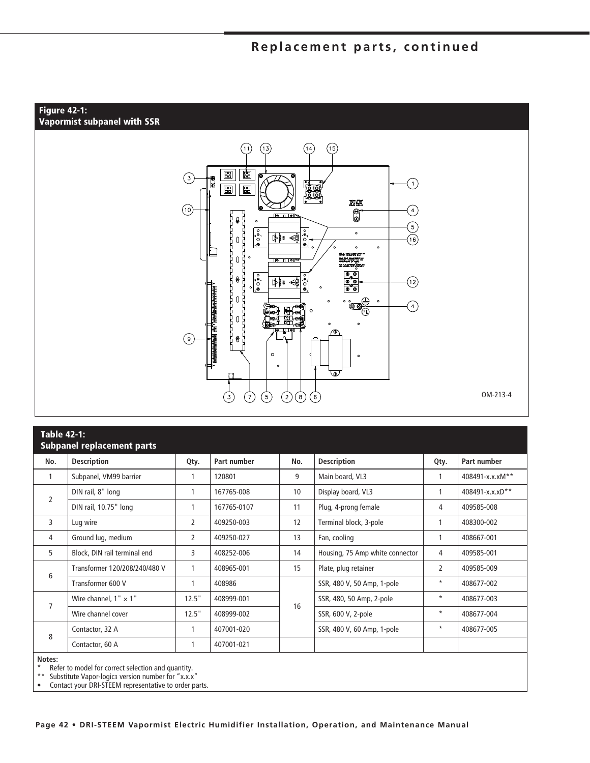#### **Figure 42-1: Vapormist subpanel with SSR**



| <b>Table 42-1:</b><br><b>Subpanel replacement parts</b>                                |                               |       |             |     |                                 |                |                 |
|----------------------------------------------------------------------------------------|-------------------------------|-------|-------------|-----|---------------------------------|----------------|-----------------|
| No.                                                                                    | <b>Description</b>            | Qty.  | Part number | No. | <b>Description</b>              | Qty.           | Part number     |
| 1                                                                                      | Subpanel, VM99 barrier        |       | 120801      | 9   | Main board, VL3                 |                | 408491-x.x.xM** |
| $\overline{2}$                                                                         | DIN rail, 8" long             | 1     | 167765-008  | 10  | Display board, VL3              | 1              | 408491-x.x.xD** |
|                                                                                        | DIN rail, 10.75" long         |       | 167765-0107 | 11  | Plug, 4-prong female            | 4              | 409585-008      |
| 3                                                                                      | Lug wire                      | 2     | 409250-003  | 12  | Terminal block, 3-pole          |                | 408300-002      |
| 4                                                                                      | Ground lug, medium            | 2     | 409250-027  | 13  | Fan, cooling                    | 1              | 408667-001      |
| 5                                                                                      | Block, DIN rail terminal end  | 3     | 408252-006  | 14  | Housing, 75 Amp white connector | 4              | 409585-001      |
| 6                                                                                      | Transformer 120/208/240/480 V |       | 408965-001  | 15  | Plate, plug retainer            | $\overline{2}$ | 409585-009      |
|                                                                                        | Transformer 600 V             | 1     | 408986      |     | SSR, 480 V, 50 Amp, 1-pole      | $\star$        | 408677-002      |
|                                                                                        | Wire channel, $1" \times 1"$  | 12.5" | 408999-001  |     | SSR, 480, 50 Amp, 2-pole        | $\star$        | 408677-003      |
| 7                                                                                      | Wire channel cover            | 12.5" | 408999-002  | 16  | SSR, 600 V, 2-pole              | $\star$        | 408677-004      |
|                                                                                        | Contactor, 32 A               |       | 407001-020  |     | SSR, 480 V, 60 Amp, 1-pole      | $\star$        | 408677-005      |
| 8                                                                                      | Contactor, 60 A               |       | 407001-021  |     |                                 |                |                 |
| Notes:<br>Refer to model for correct selection and quantity.<br>** CLOSENT LIST I CHIN |                               |       |             |     |                                 |                |                 |

Substitute Vapor-logic3 version number for "x.x.x"

• Contact your DRI-STEEM representative to order parts.

**Page 42 • DRI-STEEM Vapormist Electric Humidifier Installation, Operation, and Maintenance Manual**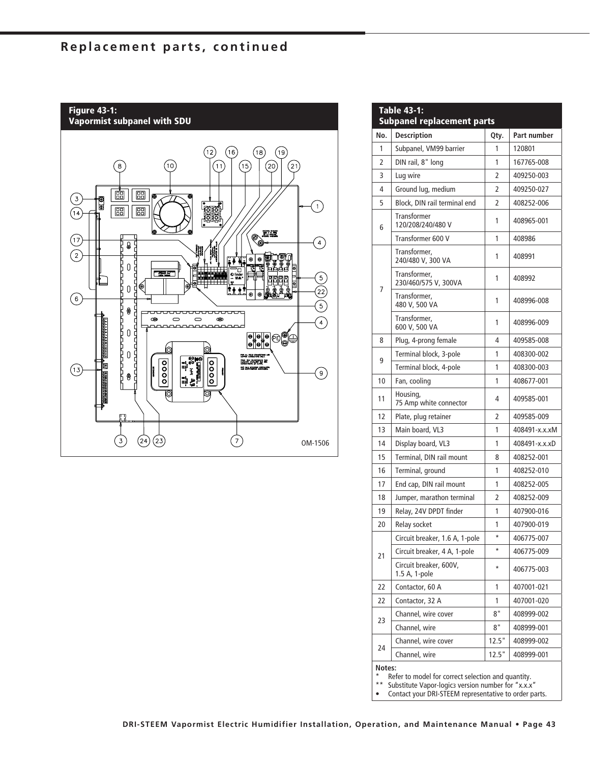

| <b>Table 43-1:</b><br><b>Subpanel replacement parts</b>                                                                                                                              |                                         |                |               |  |  |
|--------------------------------------------------------------------------------------------------------------------------------------------------------------------------------------|-----------------------------------------|----------------|---------------|--|--|
| No.                                                                                                                                                                                  | <b>Description</b>                      | Qty.           | Part number   |  |  |
| 1                                                                                                                                                                                    | Subpanel, VM99 barrier                  | 1              | 120801        |  |  |
| $\overline{2}$                                                                                                                                                                       | DIN rail, 8" long                       | 1              | 167765-008    |  |  |
| 3                                                                                                                                                                                    | Lug wire                                | 2              | 409250-003    |  |  |
| 4                                                                                                                                                                                    | Ground lug, medium                      | 2              | 409250-027    |  |  |
| 5                                                                                                                                                                                    | Block, DIN rail terminal end            | 2              | 408252-006    |  |  |
| 6                                                                                                                                                                                    | Transformer<br>120/208/240/480 V        | 1              | 408965-001    |  |  |
|                                                                                                                                                                                      | Transformer 600 V                       | 1              | 408986        |  |  |
|                                                                                                                                                                                      | Transformer,<br>240/480 V, 300 VA       | 1              | 408991        |  |  |
| 7                                                                                                                                                                                    | Transformer,<br>230/460/575 V, 300VA    | 1              | 408992        |  |  |
|                                                                                                                                                                                      | Transformer.<br>480 V, 500 VA           | 1              | 408996-008    |  |  |
|                                                                                                                                                                                      | Transformer,<br>600 V, 500 VA           | 1              | 408996-009    |  |  |
| 8                                                                                                                                                                                    | Plug, 4-prong female                    | 4              | 409585-008    |  |  |
| 9                                                                                                                                                                                    | Terminal block, 3-pole                  | 1              | 408300-002    |  |  |
|                                                                                                                                                                                      | Terminal block, 4-pole                  | 1              | 408300-003    |  |  |
| 10                                                                                                                                                                                   | Fan, cooling                            | 1              | 408677-001    |  |  |
| 11                                                                                                                                                                                   | Housing,<br>75 Amp white connector      | 4              | 409585-001    |  |  |
| 12                                                                                                                                                                                   | Plate, plug retainer                    | $\overline{2}$ | 409585-009    |  |  |
| 13                                                                                                                                                                                   | Main board, VL3                         | 1              | 408491-x.x.xM |  |  |
| 14                                                                                                                                                                                   | Display board, VL3                      | 1              | 408491-x.x.xD |  |  |
| 15                                                                                                                                                                                   | Terminal, DIN rail mount                | 8              | 408252-001    |  |  |
| 16                                                                                                                                                                                   | Terminal, ground                        | 1              | 408252-010    |  |  |
| 17                                                                                                                                                                                   | End cap, DIN rail mount                 | 1              | 408252-005    |  |  |
| 18                                                                                                                                                                                   | Jumper, marathon terminal               | 2              | 408252-009    |  |  |
| 19                                                                                                                                                                                   | Relay, 24V DPDT finder                  | 1              | 407900-016    |  |  |
| 20                                                                                                                                                                                   | Relay socket                            | 1              | 407900-019    |  |  |
|                                                                                                                                                                                      | Circuit breaker, 1.6 A, 1-pole          | *              | 406775-007    |  |  |
| 21                                                                                                                                                                                   | Circuit breaker, 4 A, 1-pole            | *              | 406775-009    |  |  |
|                                                                                                                                                                                      | Circuit breaker, 600V,<br>1.5 A, 1-pole | *              | 406775-003    |  |  |
| 22                                                                                                                                                                                   | Contactor, 60 A                         | 1              | 407001-021    |  |  |
| 22                                                                                                                                                                                   | Contactor, 32 A                         | 1              | 407001-020    |  |  |
|                                                                                                                                                                                      | Channel, wire cover                     | 8"             | 408999-002    |  |  |
| 23                                                                                                                                                                                   | Channel, wire                           | 8"             | 408999-001    |  |  |
|                                                                                                                                                                                      | Channel, wire cover                     | 12.5"          | 408999-002    |  |  |
| 24                                                                                                                                                                                   | Channel, wire                           | 12.5"          | 408999-001    |  |  |
| Notes:<br>Refer to model for correct selection and quantity.<br>$* *$<br>Substitute Vapor-logics version number for "x.x.x"<br>Contact your DRI-STEEM representative to order parts. |                                         |                |               |  |  |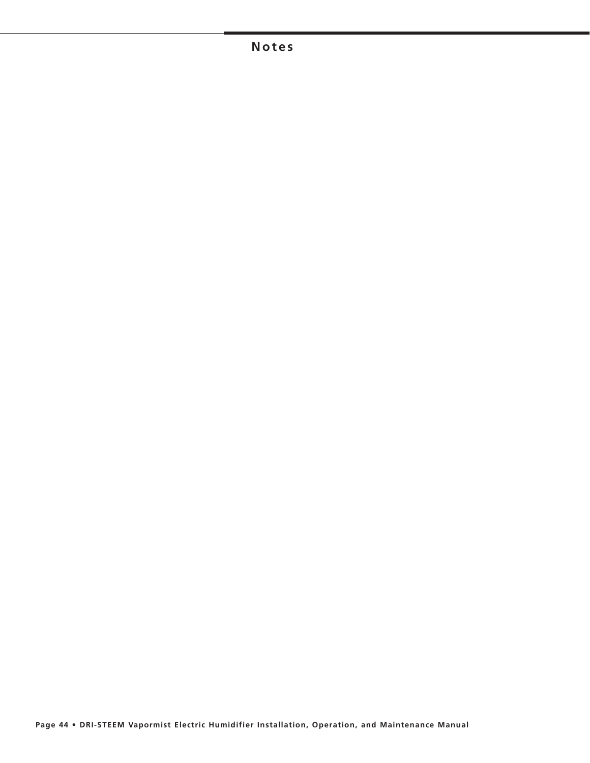### **Notes**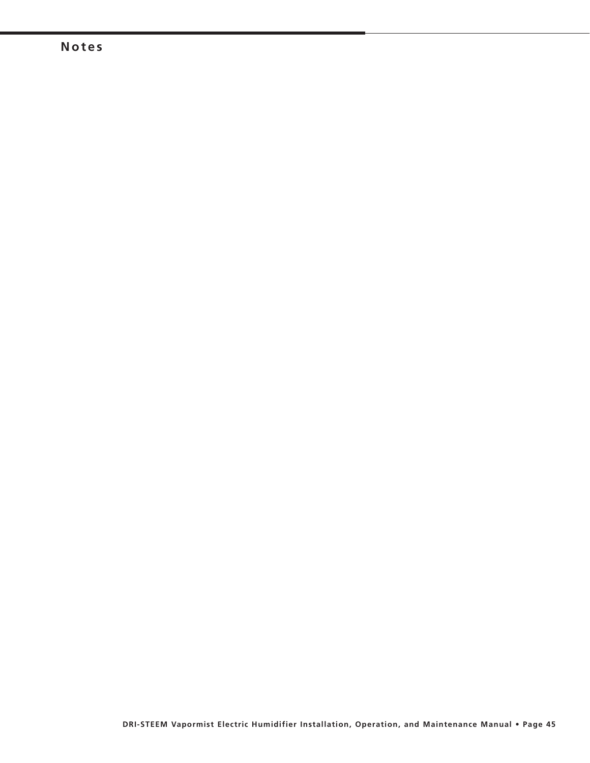### **Notes**